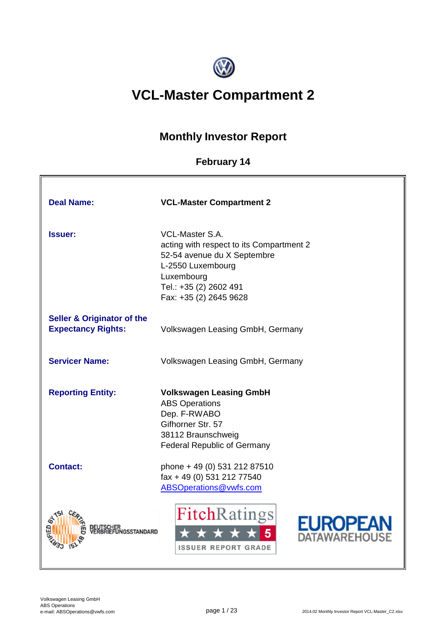

# **VCL-Master Compartment 2**

## **Monthly Investor Report**

## **February 14**

| <b>Deal Name:</b>                                                  | <b>VCL-Master Compartment 2</b>                                                                                                                                                          |
|--------------------------------------------------------------------|------------------------------------------------------------------------------------------------------------------------------------------------------------------------------------------|
| <b>Issuer:</b>                                                     | <b>VCL-Master S.A.</b><br>acting with respect to its Compartment 2<br>52-54 avenue du X Septembre<br>L-2550 Luxembourg<br>Luxembourg<br>Tel.: +35 (2) 2602 491<br>Fax: +35 (2) 2645 9628 |
| <b>Seller &amp; Originator of the</b><br><b>Expectancy Rights:</b> | Volkswagen Leasing GmbH, Germany                                                                                                                                                         |
| <b>Servicer Name:</b>                                              | Volkswagen Leasing GmbH, Germany                                                                                                                                                         |
| <b>Reporting Entity:</b>                                           | <b>Volkswagen Leasing GmbH</b><br><b>ABS Operations</b><br>Dep. F-RWABO<br>Gifhorner Str. 57<br>38112 Braunschweig<br><b>Federal Republic of Germany</b>                                 |
| <b>Contact:</b>                                                    | phone + 49 (0) 531 212 87510<br>fax + 49 (0) 531 212 77540<br>ABSOperations@vwfs.com                                                                                                     |
|                                                                    | <b>FitchRatings</b><br><b>EUROPEAN</b><br>ATAWAREHOUSE<br><b>ISSUER REPORT GRADE</b>                                                                                                     |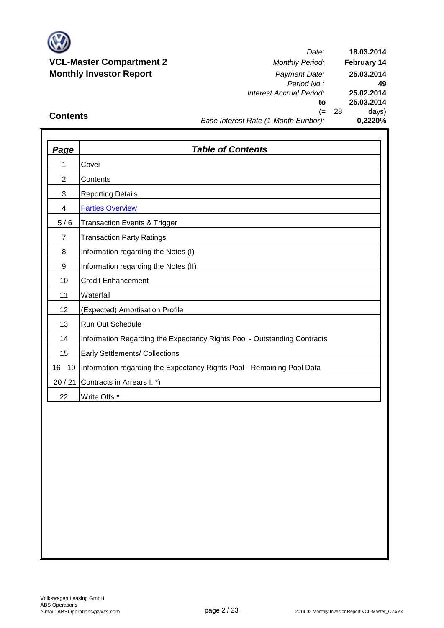

*Date: Period No.: Interest Accrual Period:* **to** (= 28 days) **25.02.2014 25.03.2014 0,2220% 18.03.2014 February 14 25.03.2014 49**

## **Contents**

## *Base Interest Rate (1-Month Euribor):*

| <b>Page</b>    | <b>Table of Contents</b>                                                 |
|----------------|--------------------------------------------------------------------------|
| 1              | Cover                                                                    |
| $\overline{2}$ | Contents                                                                 |
| 3              | <b>Reporting Details</b>                                                 |
| 4              | <b>Parties Overview</b>                                                  |
| 5/6            | <b>Transaction Events &amp; Trigger</b>                                  |
| $\overline{7}$ | <b>Transaction Party Ratings</b>                                         |
| 8              | Information regarding the Notes (I)                                      |
| 9              | Information regarding the Notes (II)                                     |
| 10             | <b>Credit Enhancement</b>                                                |
| 11             | Waterfall                                                                |
| 12             | (Expected) Amortisation Profile                                          |
| 13             | <b>Run Out Schedule</b>                                                  |
| 14             | Information Regarding the Expectancy Rights Pool - Outstanding Contracts |
| 15             | Early Settlements/ Collections                                           |
| $16 - 19$      | Information regarding the Expectancy Rights Pool - Remaining Pool Data   |
| 20/21          | Contracts in Arrears I. *)                                               |
| 22             | Write Offs *                                                             |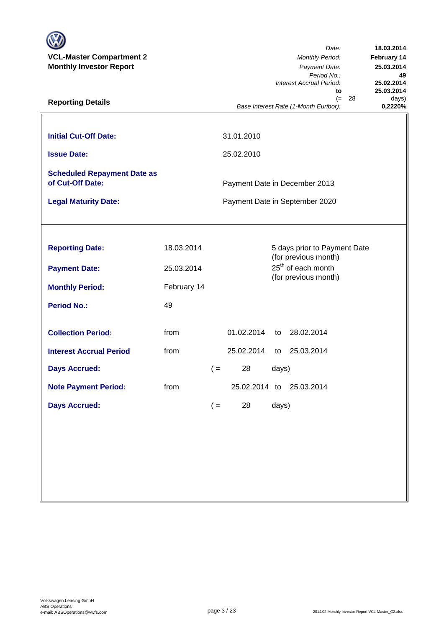| <b>VCL-Master Compartment 2</b><br><b>Monthly Investor Report</b><br><b>Reporting Details</b> |             |       |                          |       | Date:<br><b>Monthly Period:</b><br>Payment Date:<br>Period No.:<br>Interest Accrual Period:<br>to<br>$(=$<br>Base Interest Rate (1-Month Euribor): | - 28 | 18.03.2014<br><b>February 14</b><br>25.03.2014<br>49<br>25.02.2014<br>25.03.2014<br>days)<br>0,2220% |
|-----------------------------------------------------------------------------------------------|-------------|-------|--------------------------|-------|----------------------------------------------------------------------------------------------------------------------------------------------------|------|------------------------------------------------------------------------------------------------------|
| <b>Initial Cut-Off Date:</b><br><b>Issue Date:</b>                                            |             |       | 31.01.2010<br>25.02.2010 |       |                                                                                                                                                    |      |                                                                                                      |
| <b>Scheduled Repayment Date as</b><br>of Cut-Off Date:<br><b>Legal Maturity Date:</b>         |             |       |                          |       | Payment Date in December 2013<br>Payment Date in September 2020                                                                                    |      |                                                                                                      |
|                                                                                               |             |       |                          |       |                                                                                                                                                    |      |                                                                                                      |
| <b>Reporting Date:</b>                                                                        | 18.03.2014  |       |                          |       | 5 days prior to Payment Date<br>(for previous month)                                                                                               |      |                                                                                                      |
| <b>Payment Date:</b>                                                                          | 25.03.2014  |       |                          |       | 25 <sup>th</sup> of each month<br>(for previous month)                                                                                             |      |                                                                                                      |
| <b>Monthly Period:</b>                                                                        | February 14 |       |                          |       |                                                                                                                                                    |      |                                                                                                      |
| <b>Period No.:</b>                                                                            | 49          |       |                          |       |                                                                                                                                                    |      |                                                                                                      |
| <b>Collection Period:</b>                                                                     | from        |       | 01.02.2014               | to    | 28.02.2014                                                                                                                                         |      |                                                                                                      |
| <b>Interest Accrual Period</b>                                                                | from        |       | 25.02.2014               | to    | 25.03.2014                                                                                                                                         |      |                                                                                                      |
| <b>Days Accrued:</b>                                                                          |             | $($ = | 28                       | days) |                                                                                                                                                    |      |                                                                                                      |
| <b>Note Payment Period:</b>                                                                   | from        |       | 25.02.2014 to            |       | 25.03.2014                                                                                                                                         |      |                                                                                                      |
| <b>Days Accrued:</b>                                                                          |             | $($ = | 28                       | days) |                                                                                                                                                    |      |                                                                                                      |
|                                                                                               |             |       |                          |       |                                                                                                                                                    |      |                                                                                                      |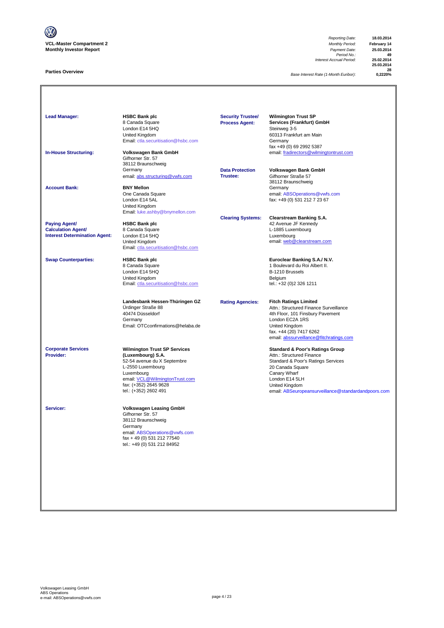

### **Parties Overview**

*Reporting Date:* **18.03.2014** *Payment Date:* **25.03.2014**<br>*Period No.:* **49**<br>*Accrual Period:* **25.02.2014** *Interest Accrual Period:* **25.02.2014**

**25.03.2014 28**

**Base Interest Rate (1-Month Euribor):** 

**Lead Manager: HSBC Bank plc Wilmington Trust SP Services (Frankfurt) GmbH**<br>Steinweg 3-5 8 Canada Square<br>London E14 5HQ<br>United Kingdom Summay 2<br>60313 Frankfurt am Main<br>Germany [Email: ctla.securitisation@hsbc.com](mailto:ctla.securitisation@hsbc.com) fax +49 (0) 69 2992 5387 **In-House Structuring: Volkswagen Bank GmbH** email: fradirectors@wilmingtontrust.com Gifhorner Str. 57 38112 Braunschweig Germany **Data Protection Volkswagen Bank GmbH** email: abs.structuring@vwfs.com 38112 Braunschweig **Account Bank: BNY Mellon**<br>
One Canada Square One Canada Square email: ABSOperations@vwfs.com London E14 5AL fax: +49 (0) 531 212 7 23 67 United Kingdom [Email: luke.ashby@bnymellon.com](mailto:ctla.securitisation@hsbc.com) **Clearing Systems: Clearstream Banking S.A. Paying Agent/ HSBC Bank plc All and Account 1999 12 Avenue JF Kennedy Calculation Agent/** 8 Canada Square **Calculation Agent/ Business Agent/ Business Agent/ Canada Square Calculation Agent/ Canada Square Calculation Agent/ Canada Square Canada Square Calculation Agent/** Interest Determination Agent: London E14 5HQ<br>United Kingdom United Kingdom email: <u>web @clearstream.com</u> [Email: ctla.securitisation@hsbc.com](mailto:ctla.securitisation@hsbc.com) **Swap Counterparties: HSBC Bank plc Euroclear Banking S.A./ N.V.** 1 Boulevard du Roi Albert II.<br>B-1210 Brussels London E14 5HQ<br>
United Kingdom<br>
Email: ctla.securitisation @hsbc.com<br>
Email: ctla.securitisation @hsbc.com<br>
Email: +32 (0)2 326 1211 United Kingdom [Email: ctla.securitisation@hsbc.com](mailto:ctla.securitisation@hsbc.com) **Landesbank Hessen-Thüringen GZ Rating Agencies: Fitch Ratings Limited** Ürdinger Straße 88 Attn.: Structured Finance Surveillance 40474 Düsseldorf 4th Floor, 101 Finsbury Pavement London EC2A 1RS Email: OTCconfirmations@helaba.de United Kingdom fax. +44 (20) 7417 6262 [email: abssurveillance@fitchratings.com](mailto:abssurveillance@fitchratings.com) **Corporate Services Wilmington Trust SP Services Corporate Services Standard & Poor's Ratings Group**<br> **Provider: Constant Corporation (Luxembourg) S.A. Constant Corporation Atthe Structured Finance** Attn.: Structured Finance Standard & Poor's Ratings Services<br>20 Canada Square 52-54 avenue du X Septembre<br>L-2550 Luxembourg<br>Luxembourg Lo Sanada Squa<br>Canary Wharf<br>London E14 5LH email: <u>VCL@WilmingtonTrust.com</u> London E14 5LH<br>fax: (+352) 2645 9628 <br>United Kingdom fax: (+352) 2645 9628 United Kingdom nsurveillance@standardandpoors.com **Servicer: Volkswagen Leasing GmbH** Gifhorner Str. 57 38112 Braunschweig Germany email: <u>ABSOperations@vwfs.com</u><br>fax + 49 (0) 531 212 77540 tel.: +49 (0) 531 212 84952 **Security Trustee/ Process Agent:**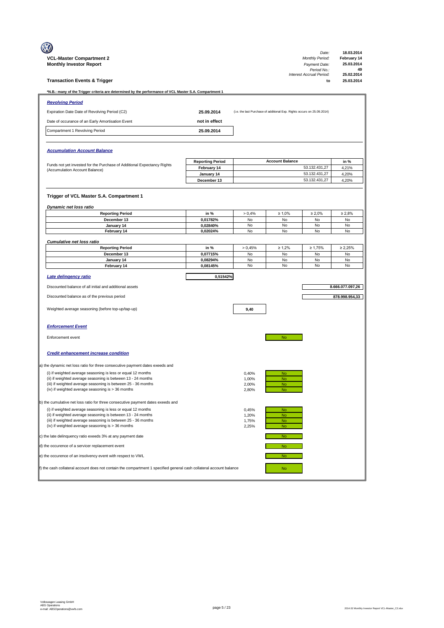|                                                                                                                               |                                        |                |                                                                         | Date:                          | 18.03.2014               |
|-------------------------------------------------------------------------------------------------------------------------------|----------------------------------------|----------------|-------------------------------------------------------------------------|--------------------------------|--------------------------|
| <b>VCL-Master Compartment 2</b>                                                                                               |                                        |                |                                                                         | <b>Monthly Period:</b>         | February 14              |
| <b>Monthly Investor Report</b>                                                                                                |                                        |                |                                                                         | Payment Date:<br>Period No.:   | 25.03.2014<br>49         |
| <b>Transaction Events &amp; Trigger</b>                                                                                       |                                        |                |                                                                         | Interest Accrual Period:<br>to | 25.02.2014<br>25.03.2014 |
| *N.B.: many of the Trigger criteria are determined by the performance of VCL Master S.A. Compartment 1                        |                                        |                |                                                                         |                                |                          |
| <b>Revolving Period</b>                                                                                                       |                                        |                |                                                                         |                                |                          |
| Expiration Date Date of Revolving Period (C2)                                                                                 | 25.09.2014                             |                | (i.e. the last Purchase of additional Exp. Rights occurs on 25.09.2014) |                                |                          |
| Date of occurance of an Early Amortisation Event                                                                              | not in effect                          |                |                                                                         |                                |                          |
| Compartment 1 Revolving Period                                                                                                | 25.09.2014                             |                |                                                                         |                                |                          |
|                                                                                                                               |                                        |                |                                                                         |                                |                          |
| <b>Accumulation Account Balance</b>                                                                                           |                                        |                |                                                                         |                                |                          |
|                                                                                                                               |                                        |                |                                                                         |                                |                          |
| Funds not yet invested for the Purchase of Additional Expectancy Rights                                                       | <b>Reporting Period</b><br>February 14 |                | <b>Account Balance</b>                                                  | 53.132.431,27                  | in %<br>4,21%            |
| (Accumulation Account Balance)                                                                                                | January 14                             |                |                                                                         | 53.132.431,27                  | 4,20%                    |
|                                                                                                                               | December 13                            |                |                                                                         | 53.132.431,27                  | 4,20%                    |
|                                                                                                                               |                                        |                |                                                                         |                                |                          |
| Trigger of VCL Master S.A. Compartment 1                                                                                      |                                        |                |                                                                         |                                |                          |
| Dynamic net loss ratio                                                                                                        |                                        |                |                                                                         |                                |                          |
| <b>Reporting Period</b>                                                                                                       | in %                                   | > 0,4%         | $\geq 1,0\%$                                                            | $\geq 2,0\%$                   | $\geq 2,8\%$             |
| December 13<br>January 14                                                                                                     | 0,01782%<br>0,02840%                   | No<br>No       | No<br>No                                                                | No<br>No                       | No<br>No                 |
| February 14                                                                                                                   | 0,02024%                               | No             | No                                                                      | No                             | No                       |
|                                                                                                                               |                                        |                |                                                                         |                                |                          |
| <b>Cumulative net loss ratio</b><br><b>Reporting Period</b>                                                                   | in %                                   | > 0,45%        | $\geq 1,2\%$                                                            | $\geq 1,75%$                   | $\geq 2,25\%$            |
| December 13                                                                                                                   | 0,07715%                               | No             | <b>No</b>                                                               | No                             | No                       |
| January 14                                                                                                                    | 0,08294%                               | No             | No                                                                      | No                             | No                       |
| February 14                                                                                                                   | 0,08145%                               | No             | No                                                                      | No                             | No                       |
| Late delingency ratio                                                                                                         | 0,51542%                               |                |                                                                         |                                |                          |
| Discounted balance of all initial and additional assets                                                                       |                                        |                |                                                                         |                                | 8.666.077.097,26         |
| Discounted balance as of the previous period                                                                                  |                                        |                |                                                                         |                                | 878.998.954,33           |
|                                                                                                                               |                                        |                |                                                                         |                                |                          |
| Weighted average seasoning (before top-up/tap-up)                                                                             |                                        | 9,40           |                                                                         |                                |                          |
|                                                                                                                               |                                        |                |                                                                         |                                |                          |
| <b>Enforcement Event</b>                                                                                                      |                                        |                |                                                                         |                                |                          |
| Enforcement event                                                                                                             |                                        |                | No                                                                      |                                |                          |
|                                                                                                                               |                                        |                |                                                                         |                                |                          |
| <b>Credit enhancement increase condition</b>                                                                                  |                                        |                |                                                                         |                                |                          |
| a) the dynamic net loss ratio for three consecutive payment dates exeeds and                                                  |                                        |                |                                                                         |                                |                          |
| (i) if weighted average seasoning is less or equal 12 months                                                                  |                                        | 0,40%          | No                                                                      |                                |                          |
| (ii) if weighted average seasoning is between 13 - 24 months                                                                  |                                        | 1,00%          | <b>No</b>                                                               |                                |                          |
| (iii) if weighted average seasoning is between 25 - 36 months<br>(iv) if weighted average seasoning is > 36 months            |                                        | 2,00%<br>2,80% | <b>No</b><br><b>No</b>                                                  |                                |                          |
|                                                                                                                               |                                        |                |                                                                         |                                |                          |
| b) the cumulative net loss ratio for three consecutive payment dates exeeds and                                               |                                        |                |                                                                         |                                |                          |
| (i) if weighted average seasoning is less or equal 12 months                                                                  |                                        | 0,45%          | <b>No</b>                                                               |                                |                          |
| (ii) if weighted average seasoning is between 13 - 24 months<br>(iii) if weighted average seasoning is between 25 - 36 months |                                        | 1,20%<br>1,75% | <b>No</b><br><b>No</b>                                                  |                                |                          |
| (iv) if weighted average seasoning is > 36 months                                                                             |                                        | 2,25%          | <b>No</b>                                                               |                                |                          |
| c) the late delinquency ratio exeeds 3% at any payment date                                                                   |                                        |                | <b>No</b>                                                               |                                |                          |
| d) the occurence of a servicer replacement event                                                                              |                                        |                | No                                                                      |                                |                          |
| e) the occurence of an insolvency event with respect to VWL                                                                   |                                        |                | <b>No</b>                                                               |                                |                          |
| f) the cash collateral account does not contain the compartment 1 specified general cash collateral account balance           |                                        |                | No                                                                      |                                |                          |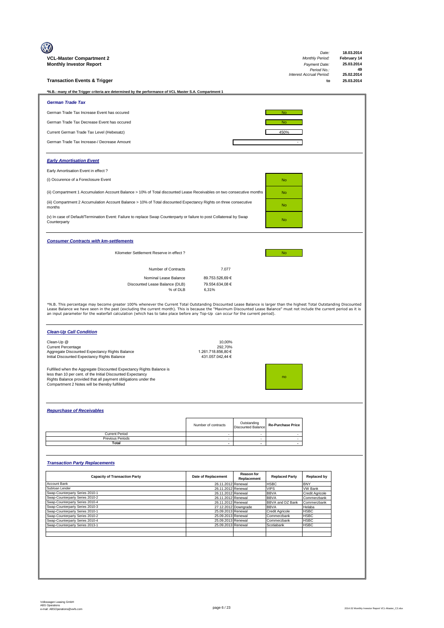| VCL-Master Compartment 2<br><b>Monthly Investor Report</b>                                                                                                                                                                                                                                                                                    |                                             |                                          |                                 | Date:<br><b>Monthly Period:</b><br>Payment Date:<br>Period No.: | 18.03.2014<br>February 14<br>25.03.2014<br>49 |
|-----------------------------------------------------------------------------------------------------------------------------------------------------------------------------------------------------------------------------------------------------------------------------------------------------------------------------------------------|---------------------------------------------|------------------------------------------|---------------------------------|-----------------------------------------------------------------|-----------------------------------------------|
| <b>Transaction Events &amp; Trigger</b>                                                                                                                                                                                                                                                                                                       |                                             |                                          |                                 | Interest Accrual Period:<br>to                                  | 25.02.2014<br>25.03.2014                      |
| *N.B.: many of the Trigger criteria are determined by the performance of VCL Master S.A. Compartment 1                                                                                                                                                                                                                                        |                                             |                                          |                                 |                                                                 |                                               |
| <b>German Trade Tax</b>                                                                                                                                                                                                                                                                                                                       |                                             |                                          |                                 |                                                                 |                                               |
| German Trade Tax Increase Event has occured                                                                                                                                                                                                                                                                                                   |                                             |                                          | <b>No</b>                       |                                                                 |                                               |
| German Trade Tax Decrease Event has occured                                                                                                                                                                                                                                                                                                   |                                             |                                          | <b>No</b>                       |                                                                 |                                               |
| Current German Trade Tax Level (Hebesatz)                                                                                                                                                                                                                                                                                                     |                                             |                                          | 450%                            |                                                                 |                                               |
| German Trade Tax Increase-/ Decrease Amount                                                                                                                                                                                                                                                                                                   |                                             |                                          |                                 |                                                                 |                                               |
|                                                                                                                                                                                                                                                                                                                                               |                                             |                                          |                                 |                                                                 |                                               |
| <b>Early Amortisation Event</b>                                                                                                                                                                                                                                                                                                               |                                             |                                          |                                 |                                                                 |                                               |
| Early Amortisation Event in effect?                                                                                                                                                                                                                                                                                                           |                                             |                                          |                                 |                                                                 |                                               |
| (i) Occurence of a Foreclosure Event                                                                                                                                                                                                                                                                                                          |                                             |                                          | <b>No</b>                       |                                                                 |                                               |
| (ii) Compartment 1 Accumulation Account Balance > 10% of Total discounted Lease Receivables on two consecutive months                                                                                                                                                                                                                         |                                             |                                          | <b>No</b>                       |                                                                 |                                               |
| (iii) Compartment 2 Accumulation Account Balance > 10% of Total discounted Expectancy Rights on three consecutive                                                                                                                                                                                                                             |                                             |                                          |                                 |                                                                 |                                               |
| months                                                                                                                                                                                                                                                                                                                                        |                                             |                                          | <b>No</b>                       |                                                                 |                                               |
| (v) In case of Default/Termination Event: Failure to replace Swap Counterparty or failure to post Collatereal by Swap<br>Counterparty                                                                                                                                                                                                         |                                             |                                          | <b>No</b>                       |                                                                 |                                               |
| <b>Consumer Contracts with km-settlements</b>                                                                                                                                                                                                                                                                                                 |                                             |                                          |                                 |                                                                 |                                               |
| Kilometer Settlement Reserve in effect ?                                                                                                                                                                                                                                                                                                      |                                             |                                          | <b>No</b>                       |                                                                 |                                               |
|                                                                                                                                                                                                                                                                                                                                               |                                             |                                          |                                 |                                                                 |                                               |
| Number of Contracts                                                                                                                                                                                                                                                                                                                           | 7.077                                       |                                          |                                 |                                                                 |                                               |
| Nominal Lease Balance<br>Discounted Lease Balance (DLB)<br>% of DLB                                                                                                                                                                                                                                                                           | 89.753.526,69 €<br>79.554.634,08 €<br>6,31% |                                          |                                 |                                                                 |                                               |
| Lease Balance we have seen in the past (excluding the current month). This is because the "Maximum Discounted Lease Balance" must not include the current period as it is<br>an input parameter for the waterfall calculation (which has to take place before any Top-Up can occur for the current period).<br><b>Clean-Up Call Condition</b> |                                             |                                          |                                 |                                                                 |                                               |
| Clean-Up @                                                                                                                                                                                                                                                                                                                                    | 10,00%                                      |                                          |                                 |                                                                 |                                               |
| <b>Current Percentage</b><br>Aggregate Discounted Expectancy Rights Balance                                                                                                                                                                                                                                                                   | 292,70%<br>1.261.718.856,80 €               |                                          |                                 |                                                                 |                                               |
| Initial Discounted Expectancy Rights Balance                                                                                                                                                                                                                                                                                                  | 431.057.042,44 €                            |                                          |                                 |                                                                 |                                               |
| Fulfilled when the Aggregate Discounted Expectancy Rights Balance is<br>less than 10 per cent. of the Initial Discounted Expectancy<br>Rights Balance provided that all payment obligations under the<br>Compartment 2 Notes will be thereby fulfilled                                                                                        |                                             |                                          |                                 |                                                                 |                                               |
| <b>Repurchase of Receivables</b>                                                                                                                                                                                                                                                                                                              |                                             |                                          |                                 |                                                                 |                                               |
|                                                                                                                                                                                                                                                                                                                                               |                                             |                                          |                                 |                                                                 |                                               |
|                                                                                                                                                                                                                                                                                                                                               | Number of contracts                         | Outstanding<br><b>Discounted Balance</b> | <b>Re-Purchase Price</b>        |                                                                 |                                               |
| <b>Current Period</b><br>Previous Periods                                                                                                                                                                                                                                                                                                     | $\sim$<br>$\sim$                            | $\sim$<br>$\sim$                         | $\sim$<br>$\sim$                |                                                                 |                                               |
| <b>Total</b>                                                                                                                                                                                                                                                                                                                                  | $\overline{\phantom{a}}$                    | $\sim$                                   | $\overline{\phantom{a}}$        |                                                                 |                                               |
| <b>Transaction Party Replacements</b>                                                                                                                                                                                                                                                                                                         |                                             |                                          |                                 |                                                                 |                                               |
| <b>Capacity of Transaction Party</b>                                                                                                                                                                                                                                                                                                          | Date of Replacement                         | <b>Reason for</b>                        | <b>Replaced Party</b>           | <b>Replaced by</b>                                              |                                               |
| Account Bank                                                                                                                                                                                                                                                                                                                                  | 26.11.2012                                  | Replacement<br>Renewal                   | <b>HSBC</b>                     | <b>BNY</b>                                                      |                                               |
| Subloan Lender<br>Swap-Counterparty Series 2010-1                                                                                                                                                                                                                                                                                             | 26.11.2012<br>26.11.2012                    | Renewal<br>Renewal                       | <b>VIPS</b><br><b>BBVA</b>      | <b>VW Bank</b><br>Credit Agricole                               |                                               |
| Swap-Counterparty Series 2010-2<br>Swap-Counterparty Series 2010-4                                                                                                                                                                                                                                                                            | 26.11.2012<br>26.11.2012                    | Renewal<br>Renewal                       | <b>BBVA</b><br>BBVA and DZ Bank | Commerzbank<br>Commerzbank                                      |                                               |
| Swap-Counterparty Series 2010-3                                                                                                                                                                                                                                                                                                               |                                             | 27.12.2012 Downgrade                     | <b>BBVA</b>                     | Helaba                                                          |                                               |
| Swap-Counterparty Series 2010-1<br>Swap-Counterparty Series 2010-2                                                                                                                                                                                                                                                                            | 25.09.2013 Renewal<br>25.09.2013            | Renewal                                  | Credit Agricole<br>Commerzbank  | HSBC<br><b>HSBC</b>                                             |                                               |
| Swap-Counterparty Series 2010-4<br>Swap-Counterparty Series 2013-1                                                                                                                                                                                                                                                                            | 25.09.2013 Renewal<br>25.09.2013            | Renewal                                  | Commerzbank<br>Scotiabank       | <b>HSBC</b><br><b>HSBC</b>                                      |                                               |
|                                                                                                                                                                                                                                                                                                                                               |                                             |                                          |                                 |                                                                 |                                               |
|                                                                                                                                                                                                                                                                                                                                               |                                             |                                          |                                 |                                                                 |                                               |
|                                                                                                                                                                                                                                                                                                                                               |                                             |                                          |                                 |                                                                 |                                               |
|                                                                                                                                                                                                                                                                                                                                               |                                             |                                          |                                 |                                                                 |                                               |
|                                                                                                                                                                                                                                                                                                                                               |                                             |                                          |                                 |                                                                 |                                               |
|                                                                                                                                                                                                                                                                                                                                               |                                             |                                          |                                 |                                                                 |                                               |
|                                                                                                                                                                                                                                                                                                                                               |                                             |                                          |                                 |                                                                 |                                               |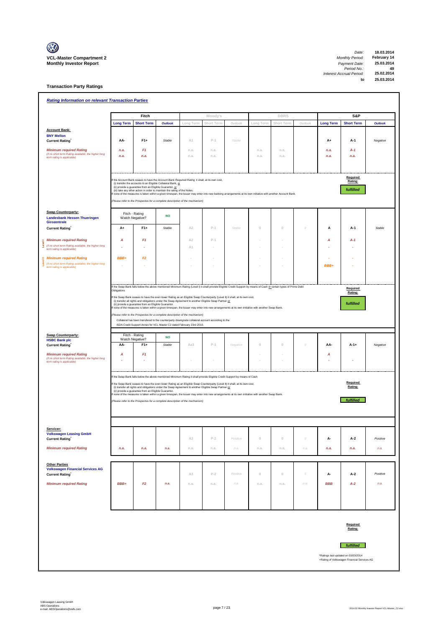

 $\overline{\mathbb{I}}$ 

**Transaction Party Ratings**

| <b>Rating Information on relevant Transaction Parties</b>                                                           |                  |                                                         |                                                                                                                                                                                                                                                                                                                                                                                                              |                |            |          |             |             |          |                  |                                                                                    |                |
|---------------------------------------------------------------------------------------------------------------------|------------------|---------------------------------------------------------|--------------------------------------------------------------------------------------------------------------------------------------------------------------------------------------------------------------------------------------------------------------------------------------------------------------------------------------------------------------------------------------------------------------|----------------|------------|----------|-------------|-------------|----------|------------------|------------------------------------------------------------------------------------|----------------|
|                                                                                                                     |                  | Fitch                                                   |                                                                                                                                                                                                                                                                                                                                                                                                              |                | Moody's    |          |             | <b>DBRS</b> |          |                  | S&P                                                                                |                |
|                                                                                                                     | <b>Long Term</b> | <b>Short Term</b>                                       | <b>Outlook</b>                                                                                                                                                                                                                                                                                                                                                                                               | Long Term      | Short Term | Outlook  | Long Term   | Short Term  | Outlook  | <b>Long Term</b> | <b>Short Term</b>                                                                  | <b>Outlook</b> |
| <b>Account Bank:</b>                                                                                                |                  |                                                         |                                                                                                                                                                                                                                                                                                                                                                                                              |                |            |          |             |             |          |                  |                                                                                    |                |
| <b>BNY Mellon</b><br><b>Current Rating</b>                                                                          | AA-              | $F1+$                                                   | Stable                                                                                                                                                                                                                                                                                                                                                                                                       | A1             | $P-1$      | Stable   |             |             |          | A+               | A-1                                                                                | Negative       |
| <b>Minimum required Rating</b>                                                                                      | n.a.             | F <sub>1</sub>                                          |                                                                                                                                                                                                                                                                                                                                                                                                              | n.a.           | n.a.       |          | n.a.        | n.a.        |          | n.a.             | $A-1$                                                                              |                |
| (if no short term Rating available, the higher long                                                                 | n.a.             | n.a.                                                    |                                                                                                                                                                                                                                                                                                                                                                                                              | n.a.           | n.a.       |          | n.a.        | n.a.        |          | n.a.             | n.a.                                                                               |                |
| term rating is applicable)                                                                                          |                  |                                                         |                                                                                                                                                                                                                                                                                                                                                                                                              |                |            |          |             |             |          |                  |                                                                                    |                |
|                                                                                                                     |                  | (ii) provide a guarantee from an Eligible Guarantor, or | If the Account Bank ceases to have the Account Bank Required Rating it shall, at its own cost,<br>(i) transfer the accounts to an Eligible Collateral Bank, or<br>(iii) take any other action in order to maintain the rating of the Notes.<br>If none of the measures is taken within a given timespan, the Issuer may enter into new banking arrangements at its own initiative with another Account Bank. |                |            |          |             |             |          |                  | Required<br>Rating:<br>fulfilled                                                   |                |
|                                                                                                                     |                  |                                                         | (Please refer to the Prospectus for a complete description of the mechanism)                                                                                                                                                                                                                                                                                                                                 |                |            |          |             |             |          |                  |                                                                                    |                |
| <b>Swap Counterparty:</b><br><b>Landesbank Hessen Thueringen</b><br>Girozentrale                                    |                  | Fitch - Rating<br>Watch Negative?                       | <b>NO</b>                                                                                                                                                                                                                                                                                                                                                                                                    |                |            |          |             |             |          |                  |                                                                                    |                |
| <b>Current Rating</b>                                                                                               | A+               | $F1+$                                                   | Stable                                                                                                                                                                                                                                                                                                                                                                                                       | A <sub>2</sub> | $P-1$      | Stable   | $\mathbb O$ | $\,0\,$     | 0        | Α                | $A-1$                                                                              | Stable         |
| <b>Minimum required Rating</b>                                                                                      | Α                | F <sub>1</sub>                                          |                                                                                                                                                                                                                                                                                                                                                                                                              | A2             | $P-1$      |          |             |             |          | A                | $A-1$                                                                              |                |
| (if no short term Rating available, the higher long<br>ē<br>term rating is applicable)                              |                  |                                                         |                                                                                                                                                                                                                                                                                                                                                                                                              | A1             |            |          |             |             |          |                  |                                                                                    |                |
|                                                                                                                     |                  |                                                         |                                                                                                                                                                                                                                                                                                                                                                                                              |                |            |          |             |             |          |                  |                                                                                    |                |
| <b>Minimum required Rating</b><br>(if no short term Rating available, the higher long<br>ŝ                          | BBB+             | F <sub>2</sub>                                          |                                                                                                                                                                                                                                                                                                                                                                                                              |                |            |          |             |             |          |                  |                                                                                    |                |
| term rating is applicable)                                                                                          |                  |                                                         |                                                                                                                                                                                                                                                                                                                                                                                                              |                |            |          |             |             |          | BBB+             |                                                                                    |                |
|                                                                                                                     |                  |                                                         | If the Swap Bank falls below the above mentioned Minimum Rating (Level I) it shall provide Eligible Credit Support by means of Cash or certain types of Prime Debt                                                                                                                                                                                                                                           |                |            |          |             |             |          |                  |                                                                                    |                |
|                                                                                                                     | Obligations      |                                                         | If the Swap Bank ceases to have the even lower Rating as an Eligible Swap Counterparty (Level II) it shall, at its own cost,                                                                                                                                                                                                                                                                                 |                |            |          |             |             |          |                  | Required<br>Rating:                                                                |                |
|                                                                                                                     |                  | (ii) provide a guarantee from an Eligible Guarantor.    | (i) transfer all rights and obligations under the Swap Agreement to another Eligible Swap Partner or                                                                                                                                                                                                                                                                                                         |                |            |          |             |             |          |                  | fulfilled                                                                          |                |
|                                                                                                                     |                  |                                                         | If none of the measures is taken within a given timespan, the Issuer may enter into new arrangements at its own initiative with another Swap Bank.                                                                                                                                                                                                                                                           |                |            |          |             |             |          |                  |                                                                                    |                |
|                                                                                                                     |                  |                                                         | (Please refer to the Prospectus for a complete description of the mechanism)<br>Collateral has been transfered to the counterparty downgrade collateral account according to the                                                                                                                                                                                                                             |                |            |          |             |             |          |                  |                                                                                    |                |
|                                                                                                                     |                  |                                                         | ISDA Credit Support Annex for VCL Master C2 dated February 23rd 2010.                                                                                                                                                                                                                                                                                                                                        |                |            |          |             |             |          |                  |                                                                                    |                |
| <b>Swap Counterparty:</b>                                                                                           |                  | Fitch - Rating                                          |                                                                                                                                                                                                                                                                                                                                                                                                              |                |            |          |             |             |          |                  |                                                                                    |                |
| <b>HSBC Bank plc</b>                                                                                                |                  | Watch Negative?                                         | <b>NO</b>                                                                                                                                                                                                                                                                                                                                                                                                    |                |            |          |             |             |          |                  |                                                                                    |                |
| <b>Current Rating</b>                                                                                               | AA-              | $F1+$                                                   | Stable                                                                                                                                                                                                                                                                                                                                                                                                       | Aa3            | $P-1$      | Negative | $\mathbb O$ | $\theta$    | 0        | AA-              | $A-1+$                                                                             | Negative       |
| <b>Minimum required Rating</b><br>(if no short term Rating available, the higher long<br>term rating is applicable) | Α                | F1                                                      |                                                                                                                                                                                                                                                                                                                                                                                                              |                |            |          |             |             |          | Α                |                                                                                    |                |
|                                                                                                                     |                  |                                                         |                                                                                                                                                                                                                                                                                                                                                                                                              |                |            |          |             |             |          |                  |                                                                                    |                |
|                                                                                                                     |                  |                                                         | If the Swap Bank falls below the above mentioned Minimum Rating it shall provide Eligible Credit Support by means of Cash                                                                                                                                                                                                                                                                                    |                |            |          |             |             |          |                  |                                                                                    |                |
|                                                                                                                     |                  |                                                         | If the Swap Bank ceases to have the even lower Rating as an Eligible Swap Counterparty (Level II) it shall, at its own cost,<br>(i) transfer all rights and obligations under the Swap Agreement to another Eligible Swap Partner or                                                                                                                                                                         |                |            |          |             |             |          |                  | Required<br>Rating:                                                                |                |
|                                                                                                                     |                  | (ii) provide a guarantee from an Eligible Guarantor.    | If none of the measures is taken within a given timespan, the Issuer may enter into new arrangements at its own initiative with another Swap Bank.                                                                                                                                                                                                                                                           |                |            |          |             |             |          |                  |                                                                                    |                |
|                                                                                                                     |                  |                                                         | (Please refer to the Prospectus for a complete description of the mechanism)                                                                                                                                                                                                                                                                                                                                 |                |            |          |             |             |          |                  | fulfilled                                                                          |                |
|                                                                                                                     |                  |                                                         |                                                                                                                                                                                                                                                                                                                                                                                                              |                |            |          |             |             |          |                  |                                                                                    |                |
|                                                                                                                     |                  |                                                         |                                                                                                                                                                                                                                                                                                                                                                                                              |                |            |          |             |             |          |                  |                                                                                    |                |
| Servicer:                                                                                                           |                  |                                                         |                                                                                                                                                                                                                                                                                                                                                                                                              |                |            |          |             |             |          |                  |                                                                                    |                |
| <b>Volkswagen Leasing GmbH</b><br><b>Current Rating</b>                                                             |                  |                                                         |                                                                                                                                                                                                                                                                                                                                                                                                              | A3             | $P-2$      | Positive | $\mathbb O$ | $\mathbb O$ | $\cal O$ | А-               | $A-2$                                                                              | Positive       |
| <b>Minimum required Rating</b>                                                                                      | n.a.             | n.a.                                                    | n.a.                                                                                                                                                                                                                                                                                                                                                                                                         | n.a.           | n.a.       | n.a.     | n.a.        | n.a.        | n.a.     | n.a.             | n.a.                                                                               | n.a.           |
|                                                                                                                     |                  |                                                         |                                                                                                                                                                                                                                                                                                                                                                                                              |                |            |          |             |             |          |                  |                                                                                    |                |
| <b>Other Parties</b><br><b>Volkswagen Financial Services AG</b>                                                     |                  |                                                         |                                                                                                                                                                                                                                                                                                                                                                                                              |                |            |          |             |             |          |                  |                                                                                    |                |
| <b>Current Rating</b>                                                                                               |                  |                                                         |                                                                                                                                                                                                                                                                                                                                                                                                              | A3             | $P-2$      | Positive | $\mathbb O$ | $\mathbb O$ | $\cal O$ | А-               | A-2                                                                                | Positive       |
| <b>Minimum required Rating</b>                                                                                      | BBB+             | F2                                                      | n.a.                                                                                                                                                                                                                                                                                                                                                                                                         | n.a.           | n.a.       | n.a.     | n.a.        | n.a.        | n.a.     | <b>BBB</b>       | $A-2$                                                                              | n.a.           |
|                                                                                                                     |                  |                                                         |                                                                                                                                                                                                                                                                                                                                                                                                              |                |            |          |             |             |          |                  |                                                                                    |                |
|                                                                                                                     |                  |                                                         |                                                                                                                                                                                                                                                                                                                                                                                                              |                |            |          |             |             |          |                  |                                                                                    |                |
|                                                                                                                     |                  |                                                         |                                                                                                                                                                                                                                                                                                                                                                                                              |                |            |          |             |             |          |                  |                                                                                    |                |
|                                                                                                                     |                  |                                                         |                                                                                                                                                                                                                                                                                                                                                                                                              |                |            |          |             |             |          |                  | Required<br>Rating:                                                                |                |
|                                                                                                                     |                  |                                                         |                                                                                                                                                                                                                                                                                                                                                                                                              |                |            |          |             |             |          |                  |                                                                                    |                |
|                                                                                                                     |                  |                                                         |                                                                                                                                                                                                                                                                                                                                                                                                              |                |            |          |             |             |          |                  | <i>fulfilled</i>                                                                   |                |
|                                                                                                                     |                  |                                                         |                                                                                                                                                                                                                                                                                                                                                                                                              |                |            |          |             |             |          |                  |                                                                                    |                |
|                                                                                                                     |                  |                                                         |                                                                                                                                                                                                                                                                                                                                                                                                              |                |            |          |             |             |          |                  | *Ratings last updated on 03/03/2014<br>+Rating of Volkswagen Financial Services AG |                |
|                                                                                                                     |                  |                                                         |                                                                                                                                                                                                                                                                                                                                                                                                              |                |            |          |             |             |          |                  |                                                                                    |                |
|                                                                                                                     |                  |                                                         |                                                                                                                                                                                                                                                                                                                                                                                                              |                |            |          |             |             |          |                  |                                                                                    |                |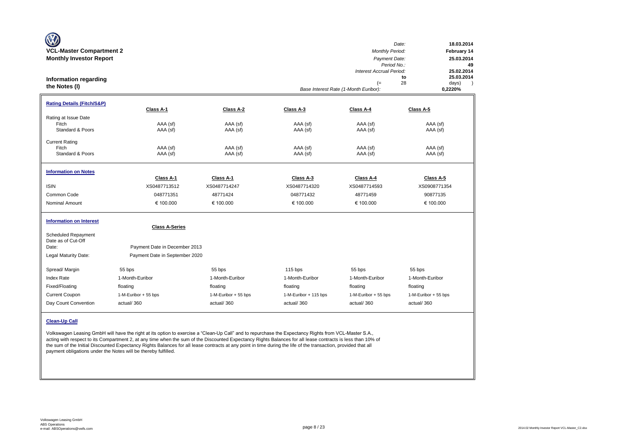| W<br><b>VCL-Master Compartment 2</b><br><b>Monthly Investor Report</b><br><b>Information regarding</b><br>the Notes (I) |                                                        |                           |                           | <b>Monthly Period:</b><br>Payment Date:<br>Period No.:<br>Interest Accrual Period:<br>$(=$<br>Base Interest Rate (1-Month Euribor): | Date:<br>18.03.2014<br>February 14<br>25.03.2014<br>49<br>25.02.2014<br>25.03.2014<br>to<br>28<br>days)<br>$\rightarrow$<br>0,2220% |
|-------------------------------------------------------------------------------------------------------------------------|--------------------------------------------------------|---------------------------|---------------------------|-------------------------------------------------------------------------------------------------------------------------------------|-------------------------------------------------------------------------------------------------------------------------------------|
| <b>Rating Details (Fitch/S&amp;P)</b>                                                                                   | Class A-1                                              | Class A-2                 | Class A-3                 | Class A-4                                                                                                                           | Class A-5                                                                                                                           |
| Rating at Issue Date<br>Fitch<br>Standard & Poors                                                                       | AAA (sf)<br>AAA (sf)                                   | AAA (sf)<br>AAA (sf)      | AAA (sf)<br>AAA (sf)      | AAA (sf)<br>AAA (sf)                                                                                                                | AAA (sf)<br>AAA (sf)                                                                                                                |
| <b>Current Rating</b><br>Fitch<br>Standard & Poors                                                                      | AAA (sf)<br>AAA (sf)                                   | AAA (sf)<br>AAA (sf)      | AAA (sf)<br>AAA (sf)      | AAA (sf)<br>AAA (sf)                                                                                                                | AAA (sf)<br>AAA (sf)                                                                                                                |
| <b>Information on Notes</b>                                                                                             |                                                        |                           |                           |                                                                                                                                     |                                                                                                                                     |
| <b>ISIN</b>                                                                                                             | Class A-1<br>XS0487713512                              | Class A-1<br>XS0487714247 | Class A-3<br>XS0487714320 | Class A-4<br>XS0487714593                                                                                                           | Class A-5<br>XS0908771354                                                                                                           |
| Common Code                                                                                                             | 048771351                                              | 48771424                  | 048771432                 | 48771459                                                                                                                            | 90877135                                                                                                                            |
| <b>Nominal Amount</b>                                                                                                   | € 100.000                                              | € 100.000                 | € 100.000                 | € 100.000                                                                                                                           | € 100.000                                                                                                                           |
| <b>Information on Interest</b><br><b>Scheduled Repayment</b><br>Date as of Cut-Off<br>Date:                             | <b>Class A-Series</b><br>Payment Date in December 2013 |                           |                           |                                                                                                                                     |                                                                                                                                     |
| Legal Maturity Date:                                                                                                    | Payment Date in September 2020                         |                           |                           |                                                                                                                                     |                                                                                                                                     |
| Spread/ Margin                                                                                                          | 55 bps                                                 | 55 bps                    | $115$ bps                 | 55 bps                                                                                                                              | 55 bps                                                                                                                              |
| <b>Index Rate</b>                                                                                                       | 1-Month-Euribor                                        | 1-Month-Euribor           | 1-Month-Euribor           | 1-Month-Euribor                                                                                                                     | 1-Month-Euribor                                                                                                                     |
| Fixed/Floating                                                                                                          | floating                                               | floating                  | floating                  | floating                                                                                                                            | floating                                                                                                                            |
| <b>Current Coupon</b>                                                                                                   | 1-M-Euribor + 55 bps                                   | 1-M-Euribor + 55 bps      | 1-M-Euribor + 115 bps     | 1-M-Euribor + 55 bps                                                                                                                | 1-M-Euribor + 55 bps                                                                                                                |
| Day Count Convention                                                                                                    | actual/360                                             | actual/360                | actual/360                | actual/360                                                                                                                          | actual/360                                                                                                                          |
| <b>Clean-Up Call</b>                                                                                                    |                                                        |                           |                           |                                                                                                                                     |                                                                                                                                     |

Volkswagen Leasing GmbH will have the right at its option to exercise a "Clean-Up Call" and to repurchase the Expectancy Rights from VCL-Master S.A., acting with respect to its Compartment 2, at any time when the sum of the Discounted Expectancy Rights Balances for all lease contracts is less than 10% of the sum of the Initial Discounted Expectancy Rights Balances for all lease contracts at any point in time during the life of the transaction, provided that all payment obligations under the Notes will be thereby fulfilled.

 $\sim$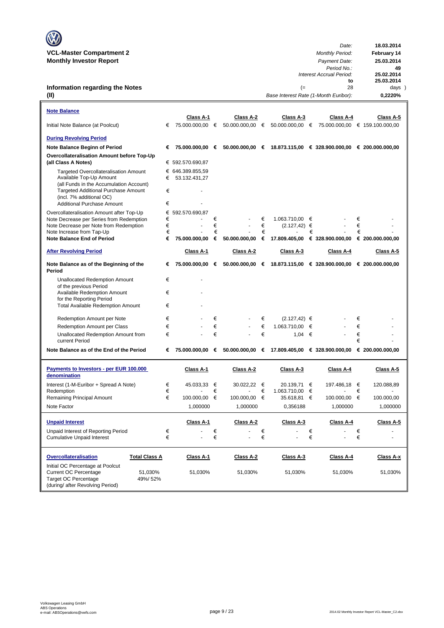| $\mathbb{C}$                    | Date:                  | 18.03.2014         |
|---------------------------------|------------------------|--------------------|
| <b>VCL-Master Compartment 2</b> | <b>Monthly Period:</b> | <b>February 14</b> |
| <b>Monthly Investor Report</b>  | Payment Date:          | 25.03.2014         |

### **Information regarding the Notes (II)**

| <b>Note Balance</b>                                                                                                                                       |        |                  |        |                 |        |                 |   |                                                                   |        |                  |
|-----------------------------------------------------------------------------------------------------------------------------------------------------------|--------|------------------|--------|-----------------|--------|-----------------|---|-------------------------------------------------------------------|--------|------------------|
| Initial Note Balance (at Poolcut)                                                                                                                         | €      | Class A-1        |        | Class A-2       |        | Class A-3       |   | Class A-4                                                         |        | Class A-5        |
| <b>During Revolving Period</b>                                                                                                                            |        |                  |        |                 |        |                 |   |                                                                   |        |                  |
| Note Balance Beginn of Period                                                                                                                             | €      | 75.000.000,00 €  |        |                 |        |                 |   | $50.000.000,00$ € 18.873.115,00 € 328.900.000,00 € 200.000.000,00 |        |                  |
| Overcollateralisation Amount before Top-Up<br>(all Class A Notes)                                                                                         |        | € 592.570.690,87 |        |                 |        |                 |   |                                                                   |        |                  |
| <b>Targeted Overcollateralisation Amount</b>                                                                                                              |        | € 646.389.855,59 |        |                 |        |                 |   |                                                                   |        |                  |
| Available Top-Up Amount                                                                                                                                   | €      | 53.132.431,27    |        |                 |        |                 |   |                                                                   |        |                  |
| (all Funds in the Accumulation Account)<br><b>Targeted Additional Purchase Amount</b>                                                                     | €      |                  |        |                 |        |                 |   |                                                                   |        |                  |
| (incl. 7% additional OC)                                                                                                                                  |        |                  |        |                 |        |                 |   |                                                                   |        |                  |
| <b>Additional Purchase Amount</b>                                                                                                                         | €      |                  |        |                 |        |                 |   |                                                                   |        |                  |
| Overcollateralisation Amount after Top-Up                                                                                                                 |        | € 592.570.690,87 |        |                 |        |                 |   |                                                                   |        |                  |
| Note Decrease per Series from Redemption                                                                                                                  | €      |                  | €      |                 | €      | 1.063.710,00 €  |   |                                                                   | €      |                  |
| Note Decrease per Note from Redemption                                                                                                                    | €      | $\overline{a}$   | €      |                 | €      | $(2.127, 42)$ € |   |                                                                   | €      |                  |
| Note Increase from Tap-Up<br><b>Note Balance End of Period</b>                                                                                            | €<br>€ | 75.000.000,00    | €<br>€ | 50.000.000,00   | €<br>€ | 17.809.405,00   | € | € 328.900.000,00                                                  | €      | € 200.000.000,00 |
|                                                                                                                                                           |        |                  |        |                 |        |                 |   |                                                                   |        |                  |
| <b>After Revolving Period</b>                                                                                                                             |        | Class A-1        |        | Class A-2       |        | Class A-3       |   | Class A-4                                                         |        | Class A-5        |
| Note Balance as of the Beginning of the<br>Period                                                                                                         | €      | 75.000.000,00 €  |        | 50.000.000,00 € |        |                 |   | 18.873.115,00 € 328.900.000,00 € 200.000.000,00                   |        |                  |
| Unallocated Redemption Amount                                                                                                                             | €      |                  |        |                 |        |                 |   |                                                                   |        |                  |
| of the previous Period                                                                                                                                    | €      |                  |        |                 |        |                 |   |                                                                   |        |                  |
| <b>Available Redemption Amount</b><br>for the Reporting Period                                                                                            |        |                  |        |                 |        |                 |   |                                                                   |        |                  |
| <b>Total Available Redemption Amount</b>                                                                                                                  | €      |                  |        |                 |        |                 |   |                                                                   |        |                  |
| Redemption Amount per Note                                                                                                                                | €      |                  | €      |                 | €      | $(2.127, 42)$ € |   |                                                                   | €      |                  |
| Redemption Amount per Class                                                                                                                               | €      |                  | €      |                 | €      | 1.063.710,00    | € |                                                                   | €      |                  |
| Unallocated Redemption Amount from<br>current Period                                                                                                      | €      |                  | €      |                 | €      | 1.04            | € |                                                                   | €<br>€ |                  |
| Note Balance as of the End of the Period                                                                                                                  | €      | 75.000.000,00 €  |        |                 |        |                 |   | 50.000.000,00 € 17.809.405,00 € 328.900.000,00 € 200.000.000,00   |        |                  |
|                                                                                                                                                           |        |                  |        |                 |        |                 |   |                                                                   |        |                  |
| Payments to Investors - per EUR 100.000<br>denomination                                                                                                   |        | Class A-1        |        | Class A-2       |        | Class A-3       |   | Class A-4                                                         |        | Class A-5        |
| Interest (1-M-Euribor + Spread A Note)                                                                                                                    | €      | 45.033,33 €      |        | 30.022,22       | €      | 20.139,71 €     |   | 197.486,18 €                                                      |        | 120.088,89       |
| Redemption                                                                                                                                                | €<br>€ |                  | €      |                 | €      | 1.063.710,00 €  |   |                                                                   | €      |                  |
| Remaining Principal Amount                                                                                                                                |        | 100.000,00 €     |        | 100.000,00 €    |        | 35.618,81 €     |   | 100.000,00 €                                                      |        | 100.000,00       |
| Note Factor                                                                                                                                               |        | 1,000000         |        | 1.000000        |        | 0,356188        |   | 1,000000                                                          |        | 1,000000         |
| <b>Unpaid Interest</b>                                                                                                                                    |        | Class A-1        |        | Class A-2       |        | Class A-3       |   | Class A-4                                                         |        | Class A-5        |
| Unpaid Interest of Reporting Period                                                                                                                       | €      |                  | €      |                 | €      |                 | € |                                                                   | €      |                  |
| <b>Cumulative Unpaid Interest</b>                                                                                                                         | €      |                  | €      |                 | €      |                 | € |                                                                   | €      |                  |
| Overcollateralisation<br><b>Total Class A</b>                                                                                                             |        | Class A-1        |        | Class A-2       |        | Class A-3       |   | Class A-4                                                         |        | Class A-x        |
| Initial OC Percentage at Poolcut<br><b>Current OC Percentage</b><br>51,030%<br><b>Target OC Percentage</b><br>49%/52%<br>(during/ after Revolving Period) |        | 51,030%          |        | 51,030%         |        | 51,030%         |   | 51,030%                                                           |        | 51,030%          |

*No.*: 49<br> *to* 25.02.2014<br> **to** 25.03.2014<br>
28 days

*Period No.:* **49**

(= 28 days)<br>Rate (1-Month Euribor): **0,2220%** 

*Interest Accrual Period:* **25.02.2014**

*Base Interest Rate (1-Month Euribor):* **0,2220%**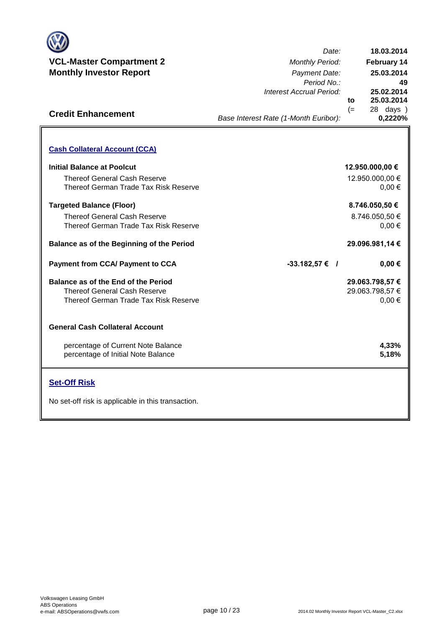

**Credit Enhancement**

*Date: Period No.: Interest Accrual Period:* **to 25.02.2014 25.03.2014 18.03.2014 25.03.2014 February 14**

(= 28 days ) **0,2220%**

**49**

## *Base Interest Rate (1-Month Euribor):*

| <b>Cash Collateral Account (CCA)</b>                                                                                |                                                  |
|---------------------------------------------------------------------------------------------------------------------|--------------------------------------------------|
| <b>Initial Balance at Poolcut</b><br><b>Thereof General Cash Reserve</b><br>Thereof German Trade Tax Risk Reserve   | 12.950.000,00 €<br>12.950.000,00 €<br>$0.00 \in$ |
| <b>Targeted Balance (Floor)</b><br>Thereof General Cash Reserve<br>Thereof German Trade Tax Risk Reserve            | 8.746.050,50 €<br>8.746.050,50 €<br>$0.00 \in$   |
| Balance as of the Beginning of the Period                                                                           | 29.096.981,14 €                                  |
| <b>Payment from CCA/ Payment to CCA</b>                                                                             | $-33.182,57 \in$ /<br>$0,00 \in$                 |
| Balance as of the End of the Period<br><b>Thereof General Cash Reserve</b><br>Thereof German Trade Tax Risk Reserve | 29.063.798,57 €<br>29.063.798,57 €<br>$0,00 \in$ |
| <b>General Cash Collateral Account</b>                                                                              |                                                  |
| percentage of Current Note Balance<br>percentage of Initial Note Balance                                            | 4,33%<br>5,18%                                   |
|                                                                                                                     |                                                  |

## **Set-Off Risk**

No set-off risk is applicable in this transaction.

**. . . .** Trigger Level 1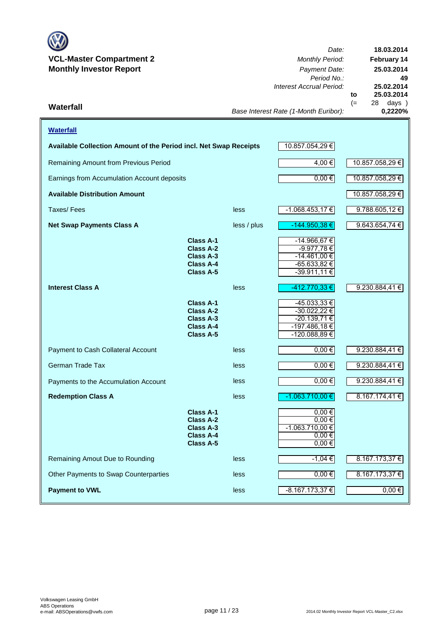

*Date: Period No.: Interest Accrual Period:* **to**  $(= 28 \text{ days})$ <br> $0.2220\%$ **25.03.2014 18.03.2014 February 14 25.03.2014 49 25.02.2014**

*Base Interest Rate (1-Month Euribor):* **Waterfall 0,2220%**

| <b>Waterfall</b>                                                  |                                                                                                  |                 |                                                                                          |                    |
|-------------------------------------------------------------------|--------------------------------------------------------------------------------------------------|-----------------|------------------------------------------------------------------------------------------|--------------------|
| Available Collection Amount of the Period incl. Net Swap Receipts | 10.857.054,29 €                                                                                  |                 |                                                                                          |                    |
| Remaining Amount from Previous Period                             | 4,00 €                                                                                           | 10.857.058,29 € |                                                                                          |                    |
| Earnings from Accumulation Account deposits                       |                                                                                                  |                 | 0,00€                                                                                    | 10.857.058,29 €    |
| <b>Available Distribution Amount</b>                              |                                                                                                  |                 |                                                                                          | 10.857.058,29 €    |
| Taxes/Fees                                                        |                                                                                                  | less            | $-1.068.453,17€$                                                                         | $9.788.605,12 \in$ |
| <b>Net Swap Payments Class A</b>                                  |                                                                                                  | less / plus     | -144.950,38 €                                                                            | 9.643.654,74 €     |
|                                                                   | <b>Class A-1</b><br><b>Class A-2</b><br><b>Class A-3</b><br><b>Class A-4</b><br>Class A-5        |                 | -14.966,67 €<br>-9.977,78€<br>-14.461,00 €<br>$-65.633,82 \in$<br>-39.911,11 €           |                    |
| <b>Interest Class A</b>                                           |                                                                                                  | less            | -412.770,33 €                                                                            | 9.230.884,41€      |
|                                                                   | <b>Class A-1</b><br><b>Class A-2</b><br>Class A-3<br><b>Class A-4</b><br><b>Class A-5</b>        |                 | $-45.033,33 \in$<br>$-30.022,22 \in$<br>$-20.139,71 \in$<br>-197.486,18€<br>-120.088,89€ |                    |
| Payment to Cash Collateral Account                                |                                                                                                  | less            | $0,00 \in$                                                                               | 9.230.884,41 €     |
| German Trade Tax                                                  |                                                                                                  | less            | $0,00$ €                                                                                 | 9.230.884,41 €     |
| Payments to the Accumulation Account                              |                                                                                                  | less            | $0,00$ €                                                                                 | 9.230.884,41 €     |
| <b>Redemption Class A</b>                                         |                                                                                                  | less            | $-1.063.710,00$ €                                                                        | 8.167.174,41€      |
|                                                                   | <b>Class A-1</b><br><b>Class A-2</b><br><b>Class A-3</b><br><b>Class A-4</b><br><b>Class A-5</b> |                 | $0,00 \in$<br>$0,00 \in$<br>$-1.063.710,00 \in$<br>$0,00 \in$<br>$0,00 \in$              |                    |
| Remaining Amout Due to Rounding                                   |                                                                                                  | less            | $-1,04 \in$                                                                              | 8.167.173,37 €     |
| Other Payments to Swap Counterparties                             |                                                                                                  | less            | $0,00 \in$                                                                               | 8.167.173,37 €     |
| <b>Payment to VWL</b>                                             |                                                                                                  | less            | $-8.167.173,37 \in$                                                                      | $0,00 \in$         |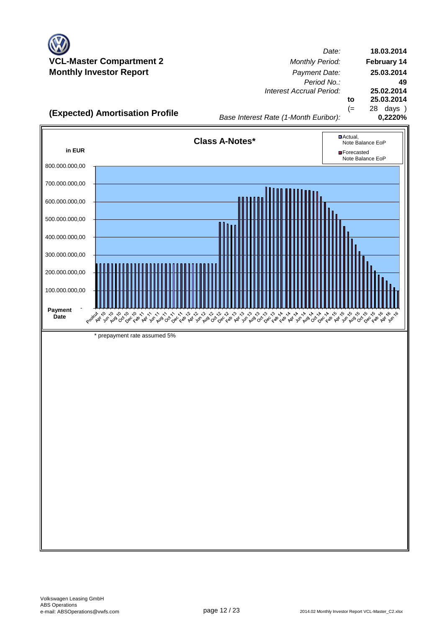

*Date: Period No.: Interest Accrual Period:* **to** (= 28 days ) **18.03.2014 February 14 25.03.2014 49 25.02.2014 25.03.2014**

**(Expected) Amortisation Profile 0,2220%**

*Base Interest Rate (1-Month Euribor):*

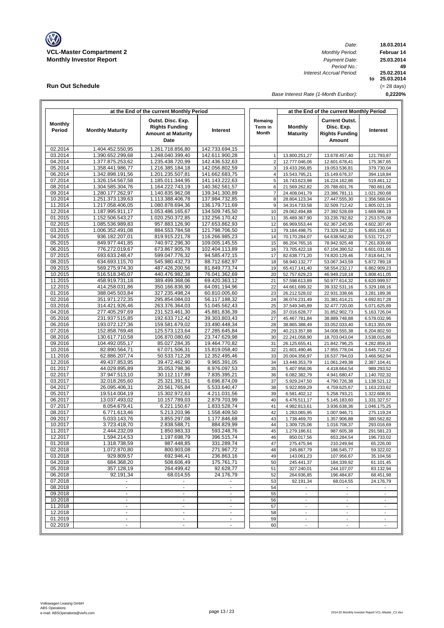

**Run Out Schedule**

*Date: Period No.: Interest Accrual Period:*

**18.03.2014 Februar 14 to 25.03.2014 25.02.2014 0,2220% 49 25.03.2014** (= 28 days)

*Base Interest Rate (1-Month Euribor):*

|                          | at the End of the current Monthly Period |                                                                                 |                                  |                             | at the End of the current Monthly Period |                                                                               |                              |  |  |  |
|--------------------------|------------------------------------------|---------------------------------------------------------------------------------|----------------------------------|-----------------------------|------------------------------------------|-------------------------------------------------------------------------------|------------------------------|--|--|--|
| <b>Monthly</b><br>Period | <b>Monthly Maturity</b>                  | Outst. Disc. Exp.<br><b>Rights Funding</b><br><b>Amount at Maturity</b><br>Date | Interest                         | Remaing<br>Term in<br>Month | Monthly<br><b>Maturity</b>               | <b>Current Outst.</b><br>Disc. Exp.<br><b>Rights Funding</b><br><b>Amount</b> | Interest                     |  |  |  |
| 02.2014                  | 1.404.452.550,95                         | 1.261.718.856,80                                                                | 142.733.694,15                   |                             |                                          |                                                                               |                              |  |  |  |
| 03.2014                  | 1.390.652.299,68                         | 1.248.040.399.40                                                                | 142.611.900,28                   | $\mathbf{1}$                | 13.800.251,27                            | 13.678.457,40                                                                 | 121.793,87                   |  |  |  |
| 04.2014                  | 1.377.875.253,62                         | 1.235.438.720,99                                                                | 142.436.532,63                   | $\overline{2}$              | 12.777.046,06                            | 12.601.678,41                                                                 | 175.367,65                   |  |  |  |
| 05.2014                  | 1.358.441.986,77                         | 1.216.385.184,18                                                                | 142.056.802,59                   | 3                           | 19.433.266,85                            | 19.053.536,81                                                                 | 379.730,04                   |  |  |  |
| 06.2014<br>07.2014       | 1.342.898.191,56                         | 1.201.235.507,81                                                                | 141.662.683,75                   | $\overline{4}$              | 15.543.795,21                            | 15.149.676,37                                                                 | 394.118,84                   |  |  |  |
| 08.2014                  | 1.326.154.567,58<br>1.304.585.304.76     | 1.185.011.344,95<br>1.164.222.743,19                                            | 141.143.222,63<br>140.362.561,57 | 5<br>6                      | 16.743.623,98<br>21.569.262,82           | 16.224.162,86<br>20.788.601.76                                                | 519.461,12<br>780.661,06     |  |  |  |
| 09.2014                  | 1.280.177.262,97                         | 1.140.835.962.08                                                                | 139.341.300,89                   | $\overline{7}$              | 24.408.041,79                            | 23.386.781,11                                                                 | 1.021.260,68                 |  |  |  |
| 10.2014                  | 1.251.373.139,63                         | 1.113.388.406,78                                                                | 137.984.732.85                   | 8                           | 28.804.123,34                            | 27.447.555,30                                                                 | 1.356.568,04                 |  |  |  |
| 11.2014                  | 1.217.058.406,05                         | 1.080.878.694,36                                                                | 136.179.711,69                   | 9                           | 34.314.733,58                            | 32.509.712,42                                                                 | 1.805.021,16                 |  |  |  |
| 12.2014                  | 1.187.995.911,17                         | 1.053.486.165,67                                                                | 134.509.745,50                   | 10                          | 29.062.494,88                            | 27.392.528,69                                                                 | 1.669.966,19                 |  |  |  |
| 01.2015                  | 1.152.506.543,27                         | 1.020.250.372,85                                                                | 132.256.170,42                   | 11                          | 35.489.367,90                            | 33.235.792,82                                                                 | 2.253.575,08                 |  |  |  |
| 02.2015                  | 1.085.536.989,83                         | 957.883.126,90                                                                  | 127.653.862,93                   | 12                          | 66.969.553,44                            | 62.367.245,95                                                                 | 4.602.307,49                 |  |  |  |
| 03.2015                  | 1.006.352.491,08                         | 884.553.784,58                                                                  | 121.798.706,50                   | 13                          | 79.184.498,75                            | 73.329.342,32                                                                 | 5.855.156,43                 |  |  |  |
| 04.2015                  | 936.182.207,01                           | 819.915.221,78                                                                  | 116.266.985,23                   | 14                          | 70.170.284,07                            | 64.638.562,80                                                                 | 5.531.721,27                 |  |  |  |
| 05.2015                  | 849.977.441,85                           | 740.972.296,30                                                                  | 109.005.145,55                   | 15                          | 86.204.765,16                            | 78.942.925,48                                                                 | 7.261.839,68                 |  |  |  |
| 06.2015                  | 776.272.019,67                           | 673.867.905,78                                                                  | 102.404.113,89                   | 16                          | 73.705.422,18                            | 67.104.390,52                                                                 | 6.601.031,66                 |  |  |  |
| 07.2015                  | 693.633.248.47                           | 599.047.776,32                                                                  | 94.585.472,15                    | 17                          | 82.638.771,20                            | 74.820.129,46                                                                 | 7.818.641,74                 |  |  |  |
| 08.2015                  | 634.693.115,70                           | 545.980.432,73                                                                  | 88.712.682,97                    | 18                          | 58.940.132,77                            | 53.067.343,59                                                                 | 5.872.789,18                 |  |  |  |
| 09.2015<br>10.2015       | 569.275.974.30                           | 487.426.200,56                                                                  | 81.849.773,74                    | 19                          | 65.417.141,40                            | 58.554.232,17                                                                 | 6.862.909,23                 |  |  |  |
| 11.2015                  | 516.518.345,07<br>458.919.731,18         | 440.476.982,38<br>389.499.368.06                                                | 76.041.362,69<br>69.420.363,12   | 20<br>21                    | 52.757.629,23<br>57.598.613,89           | 46.949.218,18<br>50.977.614,32                                                | 5.808.411,05<br>6.620.999,57 |  |  |  |
| 12.2015                  | 414.258.031,86                           | 350.166.836,90                                                                  | 64.091.194,96                    | 22                          | 44.661.699,32                            | 39.332.531,16                                                                 | 5.329.168,16                 |  |  |  |
| 01.2016                  | 388.045.503,84                           | 327.235.498,24                                                                  | 60.810.005,60                    | 23                          | 26.212.528,02                            | 22.931.338,66                                                                 | 3.281.189,36                 |  |  |  |
| 02.2016                  | 351.971.272,35                           | 295.854.084,03                                                                  | 56.117.188,32                    | 24                          | 36.074.231,49                            | 31.381.414,21                                                                 | 4.692.817,28                 |  |  |  |
| 03.2016                  | 314.421.926,46                           | 263.376.364,03                                                                  | 51.045.562,43                    | 25                          | 37.549.345,89                            | 32.477.720,00                                                                 | 5.071.625,89                 |  |  |  |
| 04.2016                  | 277.405.297,69                           | 231.523.461,30                                                                  | 45.881.836,39                    | 26                          | 37.016.628,77                            | 31.852.902,73                                                                 | 5.163.726,04                 |  |  |  |
| 05.2016                  | 231.937.515,85                           | 192.633.712,42                                                                  | 39.303.803,43                    | 27                          | 45.467.781,84                            | 38.889.748,88                                                                 | 6.578.032,96                 |  |  |  |
| 06.2016                  | 193.072.127,36                           | 159.581.679,02                                                                  | 33.490.448,34                    | 28                          | 38.865.388,49                            | 33.052.033,40                                                                 | 5.813.355,09                 |  |  |  |
| 07.2016                  | 152.858.769,48                           | 125.573.123,64                                                                  | 27.285.645,84                    | 29                          | 40.213.357,88                            | 34.008.555,38                                                                 | 6.204.802,50                 |  |  |  |
| 08.2016                  | 130.617.710,58                           | 106.870.080,60                                                                  | 23.747.629,98                    | 30                          | 22.241.058,90                            | 18.703.043,04                                                                 | 3.538.015,86                 |  |  |  |
| 09.2016                  | 104.492.055,17                           | 85.027.284,35                                                                   | 19.464.770,82                    | 31                          | 26.125.655,41                            | 21.842.796,25                                                                 | 4.282.859,16                 |  |  |  |
| 10.2016                  | 82.890.564,71                            | 67.071.506,31                                                                   | 15.819.058,40                    | 32                          | 21.601.490,46                            | 17.955.778,04                                                                 | 3.645.712,42                 |  |  |  |
| 11.2016                  | 62.886.207,74                            | 50.533.712,28                                                                   | 12.352.495,46                    | 33                          | 20.004.356,97                            | 16.537.794,03                                                                 | 3.466.562,94                 |  |  |  |
| 12.2016                  | 49.437.853,95                            | 39.472.462,90                                                                   | 9.965.391,05                     | 34                          | 13.448.353,79                            | 11.061.249,38                                                                 | 2.387.104,41                 |  |  |  |
| 01.2017<br>02.2017       | 44.029.895,89<br>37.947.513,10           | 35.053.798,36<br>30.112.117,89                                                  | 8.976.097,53<br>7.835.395,21     | 35<br>36                    | 5.407.958,06<br>6.082.382,79             | 4.418.664,54<br>4.941.680,47                                                  | 989.293,52<br>1.140.702,32   |  |  |  |
| 03.2017                  | 32.018.265,60                            | 25.321.391,51                                                                   | 6.696.874,09                     | 37                          | 5.929.247,50                             | 4.790.726,38                                                                  | 1.138.521,12                 |  |  |  |
| 04.2017                  | 26.095.406,31                            | 20.561.765,84                                                                   | 5.533.640,47                     | 38                          | 5.922.859,29                             | 4.759.625,67                                                                  | 1.163.233,62                 |  |  |  |
| 05.2017                  | 19.514.004,19                            | 15.302.972,63                                                                   | 4.211.031,56                     | 39                          | 6.581.402,12                             | 5.258.793,21                                                                  | 1.322.608,91                 |  |  |  |
| 06.2017                  | 13.037.493,02                            | 10.157.789,03                                                                   | 2.879.703,99                     | 40                          | 6.476.511,17                             | 5.145.183,60                                                                  | 1.331.327,57                 |  |  |  |
| 07.2017                  | 8.054.679,41                             | 6.221.150,67                                                                    | 1.833.528,74                     | 41                          | 4.982.813.61                             | 3.936.638,36                                                                  | 1.046.175,25                 |  |  |  |
| 08.2017                  | 6.771.613,46                             | 5.213.203,96                                                                    | 1.558.409,50                     | 42                          | 1.283.065,95                             | 1.007.946,71                                                                  | 275.119,24                   |  |  |  |
| 09.2017                  | 5.033.143,76                             | 3.855.297,08                                                                    | 1.177.846,68                     | 43                          | 1.738.469,70                             | 1.357.906,88                                                                  | 380.562,82                   |  |  |  |
| 10.2017                  | 3.723.418,70                             | 2.838.588,71                                                                    | 884.829,99                       | 44                          | 1.309.725,06                             | 1.016.708,37                                                                  | 293.016,69                   |  |  |  |
| 11.2017                  | 2.444.232,09                             | 1.850.983,33                                                                    | 593.248,76                       | 45                          | 1.279.186,61                             | 987.605,38                                                                    | 291.581,23                   |  |  |  |
| 12.2017                  | 1.594.214,53                             | 1.197.698,79                                                                    | 396.515,74                       | 46                          | 850.017,56                               | 653.284,54                                                                    | 196.733,02                   |  |  |  |
| 01.2018                  | 1.318.738,59                             | 987.448,85                                                                      | 331.289,74                       | 47                          | 275.475,94                               | 210.249,94                                                                    | 65.226,00                    |  |  |  |
| 02.2018<br>03.2018       | 1.072.870,80<br>929.809.57               | 800.903,08<br>692.946,41                                                        | 271.967,72<br>236.863,16         | 48<br>49                    | 245.867,79<br>143.061,23                 | 186.545,77<br>107.956,67                                                      | 59.322,02                    |  |  |  |
| 04.2018                  | 684.368,20                               | 508.606,49                                                                      | 175.761,71                       | 50                          | 245.441,37                               | 184.339,92                                                                    | 35.104,56<br>61.101,45       |  |  |  |
| 05.2018                  | 357.128,19                               | 264.499,42                                                                      | 92.628,77                        | 51                          | 327.240,01                               | 244.107,07                                                                    | 83.132,94                    |  |  |  |
| 06.2018                  | 92.191,34                                | 68.014,55                                                                       | 24.176,79                        | 52                          | 264.936,85                               | 196.484,87                                                                    | 68.451,98                    |  |  |  |
| 07.2018                  |                                          |                                                                                 |                                  | 53                          | 92.191,34                                | 68.014,55                                                                     | 24.176,79                    |  |  |  |
| 08.2018                  | $\blacksquare$                           | $\blacksquare$                                                                  | $\blacksquare$                   | 54                          | $\overline{\phantom{a}}$                 |                                                                               |                              |  |  |  |
| 09.2018                  | $\sim$                                   | $\blacksquare$                                                                  | $\mathbf{r}$                     | 55                          | $\blacksquare$                           | $\overline{\phantom{a}}$                                                      | $\overline{\phantom{a}}$     |  |  |  |
| 10.2018                  | $\blacksquare$                           | $\overline{a}$                                                                  | $\overline{\phantom{a}}$         | 56                          | $\overline{\phantom{a}}$                 | $\overline{\phantom{a}}$                                                      |                              |  |  |  |
| 11.2018                  | $\mathbf{r}$                             | $\mathcal{L}_{\mathcal{A}}$                                                     | $\omega$                         | 57                          | $\blacksquare$                           | $\blacksquare$                                                                | $\overline{a}$               |  |  |  |
| 12.2018                  | $\blacksquare$                           | $\sim$                                                                          | $\blacksquare$                   | 58                          | $\overline{\phantom{a}}$                 | $\overline{\phantom{a}}$                                                      | $\overline{\phantom{a}}$     |  |  |  |
| 01.2019                  | $\blacksquare$                           | $\blacksquare$                                                                  | $\blacksquare$                   | 59                          | $\overline{\phantom{a}}$                 | $\overline{\phantom{a}}$                                                      | $\overline{\phantom{a}}$     |  |  |  |
| 02.2019                  | $\blacksquare$                           | $\overline{\phantom{a}}$                                                        | $\blacksquare$                   | 60                          | $\overline{\phantom{a}}$                 | $\overline{\phantom{a}}$                                                      | $\overline{\phantom{a}}$     |  |  |  |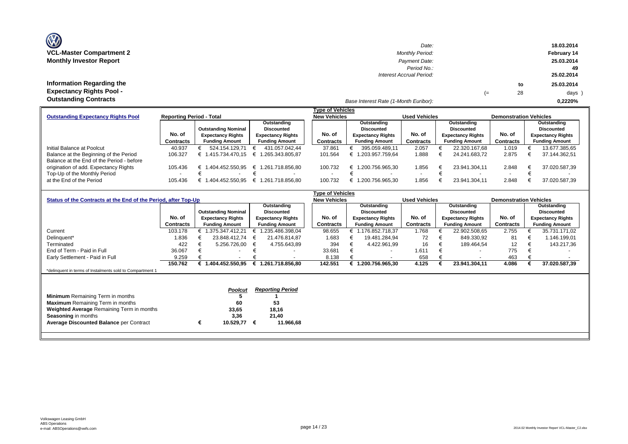| <b>OZ</b>                       |
|---------------------------------|
| <b>VCL-Master Compartment 2</b> |
| <b>Monthly Investor Report</b>  |

**Information Regarding the Expectancy Rights Pool -** 

| $\mathbf{w}$                     | Date:                    |    |    | 18.03.2014  |
|----------------------------------|--------------------------|----|----|-------------|
| <b>VCL-Master Compartment 2</b>  | <b>Monthly Period:</b>   |    |    | February 14 |
| <b>Monthly Investor Report</b>   | Payment Date:            |    |    | 25.03.2014  |
|                                  | Period No.:              |    |    | 49          |
|                                  | Interest Accrual Period: |    |    | 25.02.2014  |
| <b>Information Regarding the</b> |                          |    | to | 25.03.2014  |
| <b>Expectancy Rights Pool -</b>  |                          | (≕ | 28 | days )      |
| Outotonding Contracto            |                          |    |    |             |

### *Base Interest Rate (1-Month Euribor):* **Outstanding Contracts 0,2220%**

|                                           |                                                             |                            |                          | <b>Type of Vehicles</b> |                          |                       |                          |                               |                          |  |  |
|-------------------------------------------|-------------------------------------------------------------|----------------------------|--------------------------|-------------------------|--------------------------|-----------------------|--------------------------|-------------------------------|--------------------------|--|--|
| <b>Outstanding Expectancy Rights Pool</b> | <b>Reporting Period - Total</b>                             |                            |                          | <b>New Vehicles</b>     |                          | <b>Used Vehicles</b>  |                          | <b>Demonstration Vehicles</b> |                          |  |  |
|                                           |                                                             |                            | Outstanding              |                         | Outstanding              |                       | Outstanding              |                               | Outstanding              |  |  |
|                                           |                                                             | <b>Outstanding Nominal</b> | <b>Discounted</b>        |                         | Discounted               |                       | Discounted               |                               | Discounted               |  |  |
|                                           | No. of                                                      | <b>Expectancy Rights</b>   | <b>Expectancy Rights</b> | No. of                  | <b>Expectancy Rights</b> | No. of                | <b>Expectancy Rights</b> | No. of                        | <b>Expectancy Rights</b> |  |  |
|                                           | Contracts<br><b>Funding Amount</b><br><b>Funding Amount</b> |                            | <b>Contracts</b>         | <b>Funding Amount</b>   | <b>Contracts</b>         | <b>Funding Amount</b> | Contracts                | <b>Funding Amount</b>         |                          |  |  |
| Initial Balance at Poolcut                | 40.937                                                      | 524.154.129.71             | 431.057.042.44           | 37.861                  | 395.059.489.11           | 2.057                 | 22.320.167.68            | 1.019                         | 13.677.385,65            |  |  |
| Balance at the Beginning of the Period    | 106.327                                                     | .415.734.470.15<br>⊨       | € 1.265.343.805.87       | 101.564                 | .203.957.759.64          | 1.888                 | 24.241.683.72            | 2.875                         | 37.144.362.51            |  |  |
| Balance at the End of the Period - before |                                                             |                            |                          |                         |                          |                       |                          |                               |                          |  |  |
| origination of add. Expectancy Rights     | 105.436                                                     | .404.452.550.95            | € 1.261.718.856.80       | 100.732                 | .200.756.965.30<br>╘     | 1.856                 | 23.941.304.11            | 2.848                         | 37.020.587,39            |  |  |
| Top-Up of the Monthly Period              | $\sim$                                                      |                            |                          |                         |                          |                       |                          | $\overline{\phantom{0}}$      |                          |  |  |
| at the End of the Period                  | 105.436                                                     | 404.452.550.95             | € 1.261.718.856.80       | 100.732                 | .200.756.965.30<br>£.    | 1.856                 | 23.941.304.11            | 2.848                         | 37.020.587.39            |  |  |

|                                                                |                  |   |                            |   |                          |  | <b>Type of Vehicles</b> |                          |                       |                      |                          |               |                               |                   |                          |  |  |
|----------------------------------------------------------------|------------------|---|----------------------------|---|--------------------------|--|-------------------------|--------------------------|-----------------------|----------------------|--------------------------|---------------|-------------------------------|-------------------|--------------------------|--|--|
| Status of the Contracts at the End of the Period, after Top-Up |                  |   |                            |   |                          |  | <b>New Vehicles</b>     |                          |                       | <b>Used Vehicles</b> |                          |               | <b>Demonstration Vehicles</b> |                   |                          |  |  |
|                                                                |                  |   |                            |   | Outstanding              |  |                         |                          | Outstanding           |                      |                          | Outstanding   |                               |                   | Outstanding              |  |  |
|                                                                |                  |   | <b>Outstanding Nominal</b> |   | <b>Discounted</b>        |  |                         |                          | <b>Discounted</b>     |                      | <b>Discounted</b>        |               |                               | <b>Discounted</b> |                          |  |  |
|                                                                | No. of           |   | <b>Expectancy Rights</b>   |   | <b>Expectancy Rights</b> |  | No. of                  | <b>Expectancy Rights</b> |                       | No. of               | <b>Expectancy Rights</b> |               | No. of                        |                   | <b>Expectancy Rights</b> |  |  |
|                                                                | <b>Contracts</b> |   | <b>Funding Amount</b>      |   | <b>Funding Amount</b>    |  | Contracts               |                          | <b>Funding Amount</b> | <b>Contracts</b>     | <b>Funding Amount</b>    |               | Contracts                     |                   | <b>Funding Amount</b>    |  |  |
| Current                                                        | 103.178          |   | € 1.375.347.412,21         |   | 1.235.486.398,04         |  | 98.655                  |                          | € 1.176.852.718,37    | 1.768                |                          | 22.902.508,65 | 2.755                         |                   | 35.731.171,02            |  |  |
| Delinquent*                                                    | .836             |   | 23.848.412,74              |   | 21.476.814,87            |  | 1.683                   |                          | 19.481.284.94         | 72                   |                          | 849.330,92    | 81                            |                   | 1.146.199,01             |  |  |
| Terminated                                                     | 422              |   | 5.256.726,00               | € | 4.755.643.89             |  | 394                     |                          | 4.422.961,99          | 16                   |                          | 189.464,54    | $12 \overline{ }$             |                   | 143.217,36               |  |  |
| End of Term - Paid in Full                                     | 36.067           |   |                            |   |                          |  | 33.681                  |                          |                       | 1.611                |                          |               | 775                           |                   |                          |  |  |
| Early Settlement - Paid in Full                                | 9.259            |   |                            |   |                          |  | 8.138                   |                          |                       | 658                  |                          |               | 463                           |                   |                          |  |  |
|                                                                | 150.762          |   | € 1.404.452.550.95         |   | € 1.261.718.856.80       |  | 142.551                 |                          | € 1.200.756.965,30    | 4.125                |                          | 23.941.304,11 | 4.086                         |                   | 37.020.587,39            |  |  |
| *delinquent in terms of Instalments sold to Compartment 1      |                  |   |                            |   |                          |  |                         |                          |                       |                      |                          |               |                               |                   |                          |  |  |
|                                                                |                  |   |                            |   |                          |  |                         |                          |                       |                      |                          |               |                               |                   |                          |  |  |
|                                                                |                  |   | Poolcut                    |   | <b>Reporting Period</b>  |  |                         |                          |                       |                      |                          |               |                               |                   |                          |  |  |
| <b>Minimum</b> Remaining Term in months                        |                  |   |                            |   |                          |  |                         |                          |                       |                      |                          |               |                               |                   |                          |  |  |
| <b>Maximum</b> Remaining Term in months                        |                  |   | 60                         |   | 53                       |  |                         |                          |                       |                      |                          |               |                               |                   |                          |  |  |
|                                                                |                  |   | 33,65                      |   | 18,16                    |  |                         |                          |                       |                      |                          |               |                               |                   |                          |  |  |
| <b>Weighted Average Remaining Term in months</b>               |                  |   |                            |   |                          |  |                         |                          |                       |                      |                          |               |                               |                   |                          |  |  |
| Seasoning in months                                            |                  |   | 3,36                       |   | 21,40                    |  |                         |                          |                       |                      |                          |               |                               |                   |                          |  |  |
| <b>Average Discounted Balance per Contract</b>                 |                  | € | 10.529,77                  | € | 11.966,68                |  |                         |                          |                       |                      |                          |               |                               |                   |                          |  |  |
|                                                                |                  |   |                            |   |                          |  |                         |                          |                       |                      |                          |               |                               |                   |                          |  |  |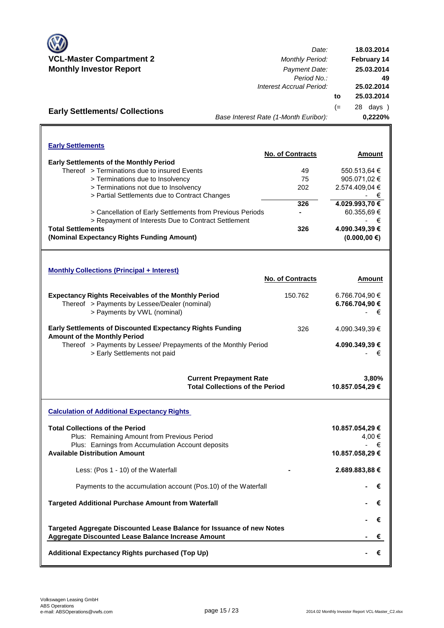

**Early Settlements/ Collections**

*Date:* **VCL-Master Compartment 2** *Monthly Period:* **Monthly Investor Report** *Payment Date: Period No.: Interest Accrual Period:* **to** (= 28 days ) *Base Interest Rate (1-Month Euribor):* **18.03.2014 February 14 25.03.2014 25.03.2014 49 25.02.2014 0,2220%**

| <b>Early Settlements</b> |                                                           |                         |                               |
|--------------------------|-----------------------------------------------------------|-------------------------|-------------------------------|
|                          |                                                           | <b>No. of Contracts</b> | Amount                        |
|                          | <b>Early Settlements of the Monthly Period</b>            |                         |                               |
|                          | Thereof > Terminations due to insured Events              | 49                      | 550.513,64 €                  |
|                          | > Terminations due to Insolvency                          | 75                      | 905.071,02 €                  |
|                          | > Terminations not due to Insolvency                      | 202                     | 2.574.409,04 €                |
|                          | > Partial Settlements due to Contract Changes             |                         | €<br>٠                        |
|                          |                                                           | 326                     | 4.029.993,70 €                |
|                          | > Cancellation of Early Settlements from Previous Periods |                         | 60.355,69€                    |
|                          | > Repayment of Interests Due to Contract Settlement       |                         | €<br>$\overline{\phantom{0}}$ |
| <b>Total Settlements</b> |                                                           | 326                     | 4.090.349.39 €                |
|                          | (Nominal Expectancy Rights Funding Amount)                |                         | $(0.000, 00 \in)$             |

| <b>Monthly Collections (Principal + Interest)</b>                                                                                          |                         |                                       |
|--------------------------------------------------------------------------------------------------------------------------------------------|-------------------------|---------------------------------------|
|                                                                                                                                            | <b>No. of Contracts</b> | Amount                                |
| <b>Expectancy Rights Receivables of the Monthly Period</b><br>Thereof > Payments by Lessee/Dealer (nominal)<br>> Payments by VWL (nominal) | 150.762                 | 6.766.704.90 €<br>6.766.704,90 €<br>€ |
| <b>Early Settlements of Discounted Expectancy Rights Funding</b><br><b>Amount of the Monthly Period</b>                                    | 326                     | 4.090.349.39 €                        |
| Thereof > Payments by Lessee/ Prepayments of the Monthly Period<br>> Early Settlements not paid                                            |                         | 4.090.349.39 €<br>€                   |
| <b>Current Prepayment Rate</b>                                                                                                             |                         | 3.80%                                 |

**Total Collections of the Period Calculation of Additional Expectancy Rights 10.857.054,29 €**

| <b>Total Collections of the Period</b><br>Plus: Remaining Amount from Previous Period<br>Plus: Earnings from Accumulation Account deposits<br><b>Available Distribution Amount</b> | 10.857.054,29 €<br>4.00 €<br>- €<br>10.857.058,29 € |
|------------------------------------------------------------------------------------------------------------------------------------------------------------------------------------|-----------------------------------------------------|
| Less: (Pos 1 - 10) of the Waterfall                                                                                                                                                | 2.689.883,88 €                                      |
| Payments to the accumulation account (Pos.10) of the Waterfall                                                                                                                     | €                                                   |
| <b>Targeted Additional Purchase Amount from Waterfall</b>                                                                                                                          | $\epsilon$                                          |
| Targeted Aggregate Discounted Lease Balance for Issuance of new Notes                                                                                                              | $\epsilon$                                          |
| Aggregate Discounted Lease Balance Increase Amount                                                                                                                                 | €                                                   |
| Additional Expectancy Rights purchased (Top Up)                                                                                                                                    |                                                     |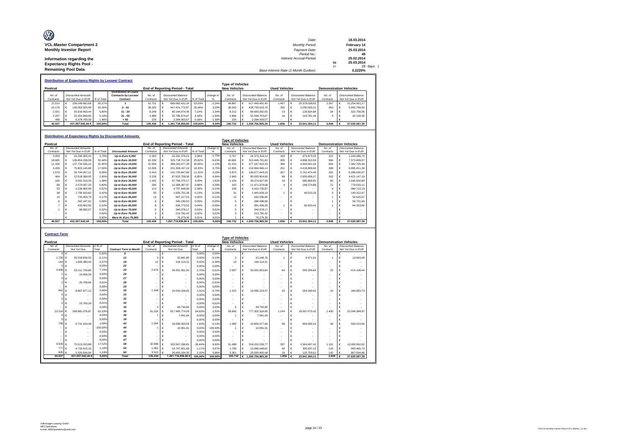| $\circledR$                     |                                       |      |             |
|---------------------------------|---------------------------------------|------|-------------|
|                                 | Date:                                 |      | 18.03.2014  |
| <b>VCL-Master Compartment 2</b> | Monthly Period:                       |      | February 14 |
| <b>Monthly Investor Report</b>  | Payment Date:                         |      | 25.03.2014  |
|                                 | Period No.:                           |      | 49          |
| Information regarding the       | Interest Accrual Period:              |      | 25.02.2014  |
| <b>Expectancy Rights Pool -</b> |                                       | to   | 25.03.2014  |
|                                 |                                       | $(=$ | 28 days )   |
| <b>Remaining Pool Data</b>      | Base Interest Rate (1-Month Euribor): |      | 0.2220%     |
|                                 |                                       |      |             |

|           | <b>Distribution of Expectancy Rights by Lessee/ Contract</b> |                           |            |                              |           |  |                                        |            |           |                     |  |                    |                      |  |                    |                               |                    |
|-----------|--------------------------------------------------------------|---------------------------|------------|------------------------------|-----------|--|----------------------------------------|------------|-----------|---------------------|--|--------------------|----------------------|--|--------------------|-------------------------------|--------------------|
|           | <b>Type of Vehicles</b>                                      |                           |            |                              |           |  |                                        |            |           |                     |  |                    |                      |  |                    |                               |                    |
| Poolcut   |                                                              |                           |            |                              |           |  | <b>End of Reporting Period - Total</b> |            |           | <b>New Vehicles</b> |  |                    | <b>Used Vehicles</b> |  |                    | <b>Demonstration Vehicles</b> |                    |
|           |                                                              |                           |            | <b>Distribution of Lease</b> |           |  |                                        |            |           |                     |  |                    |                      |  |                    |                               |                    |
| No. of    |                                                              | <b>Discounted Amounts</b> |            | Contracts by Lessee/         | No. of    |  | Discounted Balance                     |            | change in | No. of              |  | Discounted Balance | No. of               |  | Discounted Balance | No. of                        | Discounted Balance |
| Contracts |                                                              | Not Yet Due in EUR        | % of Total | Contract                     | Contracts |  | Not Yet Due in EUR                     | % of Total |           | Contracts           |  | Not Yet Due in FUR | Contracts            |  | Not Yet Due in EUR | Contracts                     | Not Yet Due in EUR |
| 21.510    |                                                              | 238.249.962.68            | 55.27%     |                              | 52.751    |  | 669.082.431.24                         | 53.03%     | $-2.24%$  | 48.887              |  | 617 449 491 45     | 1 497                |  | 20.378.038.62      | 2.367                         | 31.254.901.17      |
| 14.170    |                                                              | 139.053.925.98            | 32.26%     | $2 - 10$                     | 39.325    |  | 447.421.772.87                         | 35.46%     | 3.20%     | 38.542              |  | 438.730.423.76     | 330                  |  | 3.290.559.21       | 453                           | 5,400,789.90       |
| 2.551     |                                                              | 25.018.463.44             | 5.80%      | $11 - 20$                    | 8.249     |  | 90.144.974.45                          | 7.14%      | 1.34%     | 8.212               |  | 89.693.292.65      | 13                   |  | 128,924.84         | 24                            | 322,756.96         |
| 2.207     |                                                              | 22.354.989.95             | 5.19%      | $21 - 50$                    | 4.886     |  | 52.785.674.67                          | 4.18%      | $-1.00%$  | 4.866               |  | 52.599.753.87      | 16                   |  | 143.781.44         |                               | 42.139.36          |
| 499       |                                                              | 6.379.700.39              | 1.48%      | > 50                         | 225       |  | 2.284.003.57                           | 0.18%      | $-1.30%$  | 225                 |  | 2.284.003.57       |                      |  |                    |                               |                    |
| 40.937    |                                                              | 431.057.042.44 €          | 100.00%    | Total                        | 105,436   |  | 1.261.718.856.80                       | 100.00%    | 0.00%     | 100.732             |  | 1.200.756.965.30   | 1.856                |  | 23.941.304.11      | 2.848                         | 37.020.587.39      |

#### **Distribution of Expectancy Rights by Discounted Amounts**

|           | Tvpe of Vehicles |                           |            |                          |           |    |                                        |            |           |                                             |   |                    |           |            |                           |                               |   |                           |  |  |
|-----------|------------------|---------------------------|------------|--------------------------|-----------|----|----------------------------------------|------------|-----------|---------------------------------------------|---|--------------------|-----------|------------|---------------------------|-------------------------------|---|---------------------------|--|--|
| Poolcut   |                  |                           |            |                          |           |    | <b>End of Reporting Period - Total</b> |            |           | <b>New Vehicles</b><br><b>Used Vehicles</b> |   |                    |           |            |                           | <b>Demonstration Vehicles</b> |   |                           |  |  |
| No. of    |                  | <b>Discounted Amounts</b> |            |                          | No of     |    | <b>Discounted Amounts</b>              |            | change in | No. of                                      |   | Discounted Balance | No. of    |            | <b>Discounted Balance</b> | No. of                        |   | <b>Discounted Balance</b> |  |  |
| Contracts |                  | Not Yet Due in EUR        | % of Total | <b>Discounted Amount</b> | Contracts |    | Not Yet Due in EUR                     | % of Total | %         | Contracts                                   |   | Not Yet Due in EUR | Contracts |            | Not Yet Due in EUR        | Contracts                     |   | Not Yet Due in EUR        |  |  |
| 4.059     |                  | 16.290.965.42             | 3.78%      | Up to Euro 5,000         | 6.263     |    | 26.291.376.21                          | 2.08%      | $-1.70%$  | 5.767                                       |   | 24.373.316.14      | 184       |            | 673.973.33                | 312                           |   | 1.244.086.74              |  |  |
| 18,685    |                  | 139.854.158.59            | 32.44%     | Up to Euro 10,000        | 42.330    |    | 325.718.712.38                         | 25.82%     | $-6.63%$  | 40.681                                      |   | 313.446.791.82     | 655       |            | 4.898.310.59              | 994                           | е | 7.373.609.97              |  |  |
| 11,339    |                  | 137.734.335.14            | 31.95%     | Up to Euro 15,000        | 32,000    |    | 389.243.677.38                         | 30.85%     | $-1.10%$  | 31.010                                      | € | 377.167.410.33     | 386       |            | 4.693.561.56              | 604                           |   | 7.382.705.49              |  |  |
| 4.439     |                  | 75.803.145.89             | 17.59%     | Up to Euro 20,000        | 13,505    |    | 231.309.167.19                         | 18.33%     | 0.75%     | 12.855                                      |   | 219.994.946.14     | 251       | -G.        | 4.418.809.66              | 399                           |   | 6,895,411.39              |  |  |
| 1.579     |                  | 34.744.057.11             | 8.06%      | Up to Euro 25,000        | 6,410     |    | 142.725.847.80                         | 11.31%     | 3.25%     | 5.872                                       |   | 130.677.443.33     | 257       |            | 5.761.474.40              | 281                           |   | 6.286.930.07              |  |  |
| 464       |                  | 12.518.368.05             | 2.90%      | Up to Euro 30,000        | 3.226     |    | 87.632.758.36                          | 6.95%      | 4.04%     | 2.965                                       |   | 80.555.954.90      | 99        |            | 2.655.656.27              | 162                           |   | 4.421.147.19              |  |  |
| 184       |                  | 5.931.016.33              | 1.38%      | Up to Euro 35,000        | 1.182     |    | 37.796.370.17                          | 3.00%      | 1.62%     | 1.104                                       |   | 35.274.627.56      | 18        |            | 580,809.81                | 60                            |   | 1.940.932.80              |  |  |
| 69        |                  | 2.570.067.20              | 0.60%      | Up to Euro 40,000        | 335       |    | 12.398.387.97                          | 0.98%      | 0.39%     | 310                                         |   | 11.471.079.98      |           | €          | 148,274.88                | 21                            |   | 779.033.11                |  |  |
| 53        |                  | 2.236.865.99              | 0.52%      | Up to Euro 45,000        | 114       | ∣€ | 4.797.448.00                           | 0.38%      | $-0.14%$  | 105                                         |   | 4.416.735.87       |           |            |                           | a                             |   | 380.712.13                |  |  |
| 38        |                  | 1.795.920.82              | 0.42%      | Up to Euro 50,000        | 35        |    | 1.635.751.36                           | 0.13%      | $-0.29%$  | 31                                          |   | 1.445.928.19       |           | €          | 49.510.20                 | 3                             | € | 140.312.97                |  |  |
| 14        |                  | 733,459.79                | 0.17%      | Up to Euro 55,000        | 13        |    | 687.217.03                             | 0.05%      | $-0.12%$  | 12                                          |   | 632,596.96         |           |            |                           |                               |   | 54.620.07                 |  |  |
|           |                  | 342.197.52                | 0.08%      | Up to Euro 60,000        | 6         |    | 345.230,53                             | 0.03%      | $-0.05%$  | 5                                           |   | 288,498.89         |           |            |                           |                               |   | 56,731.64                 |  |  |
|           | е                | 433.802.02                | 0.10%      | Up to Euro 65,000        |           |    | 506,773.53                             | 0.04%      | $-0.06%$  | 6.                                          |   | 381.496.30         |           | $\epsilon$ | 60.923.41                 |                               |   | 64.353.82                 |  |  |
|           |                  | 68,682.57                 | 0.02%      | Up to Euro 70,000        |           |    | 340.078.17                             | 0.03%      | 0.01%     | 5.                                          |   | 340.078.17         |           |            |                           |                               |   |                           |  |  |
|           |                  | $\overline{\phantom{a}}$  | 0.00%      | Up to Euro 75,000        | ٩         |    | 213.781.42                             | 0.02%      | 0.02%     |                                             | € | 213,781.42         |           |            |                           |                               |   |                           |  |  |
|           |                  |                           | 0.00%      | More th. Euro 75,000     |           |    | 76,279.30                              | 0.01%      | 0.01%     |                                             |   | 76,279.30          |           |            |                           |                               |   |                           |  |  |
| 40.937    |                  | 431.057.042.44            | 100,00%    | <b>Total</b>             | 105,436   |    | 1.261.718.856.80 €                     | 100.00%    | 0.00%     | 100.732                                     |   | € 1.200.756.965.30 | 1.856     | ∣€         | 23.941.304.11             | 2,848                         |   | 37.020.587.39             |  |  |

| <b>Contract Term</b> |                                     |                |                               |                          |                                        |         |           |                          |            |                           |                          |                    |                           |                               |                    |                           |
|----------------------|-------------------------------------|----------------|-------------------------------|--------------------------|----------------------------------------|---------|-----------|--------------------------|------------|---------------------------|--------------------------|--------------------|---------------------------|-------------------------------|--------------------|---------------------------|
|                      |                                     |                |                               |                          |                                        |         |           | <b>Type of Vehicles</b>  |            |                           |                          |                    |                           |                               |                    |                           |
| Poolcut              |                                     |                |                               |                          | <b>End of Reporting Period - Total</b> |         |           | <b>New Vehicles</b>      |            |                           | <b>Used Vehicles</b>     |                    |                           | <b>Demonstration Vehicles</b> |                    |                           |
| No. of               | <b>Discounted Amounts</b>           | in $%$ of      |                               | No of                    | <b>Discounted Amounts</b>              | in % of | change in | No. of                   |            | <b>Discounted Balance</b> | No. of                   |                    | <b>Discounted Balance</b> | No of                         |                    | <b>Discounted Balance</b> |
| Contracts            | Not Yet Due                         | <b>Total</b>   | <b>Contract Term in Month</b> | Not Yet Due<br>Contracts |                                        | Total   | %         | Contracts                |            | Not Yet Due in EUR        | Contracts                | Not Yet Due in EUR |                           | Contracts                     | Not Yet Due in EUR |                           |
|                      | $0 \in$<br>$\overline{\phantom{a}}$ | 0.00%          | 9                             |                          | €                                      | 0.00%   | 0.00%     | $\overline{\phantom{a}}$ | €          | $\sim$                    | $\overline{\phantom{a}}$ | €                  | $\sim$                    | $\overline{\phantom{a}}$      | €                  | $\overline{\phantom{a}}$  |
| 1.705                | $\epsilon$<br>26.318.834.50         | 6.11%          | 12                            |                          | 32.681.85<br>€                         | 0.00%   | $-6.10%$  | $\overline{2}$           | €          | 10.146.76                 |                          | €                  | 9.471.61                  |                               | ¢                  | 13,063,48                 |
| 144                  | $\epsilon$<br>1.605.380.44          | 0.37%          | 18                            | 13                       | €<br>194.114.31                        | 0.02%   | $-0.36%$  | 13                       | $\epsilon$ | 194.114.31                | $\overline{\phantom{a}}$ | €                  |                           | ÷                             | ¢                  |                           |
| $\Omega$             | $\epsilon$                          | 0.00%          | 22                            |                          | €                                      | 0.00%   | 0.00%     |                          | €          |                           | ۰                        | €                  |                           | ÷                             | ¢                  |                           |
| 3.008                | $\epsilon$<br>33.211.759.80         | 7.70%          | 24                            | 2.676                    | €<br>34.051.361.92                     | 2.70%   | $-5.01%$  | 2.587                    | €          | 33.091.953.84             | 64                       | €                  | 545.209.64                | 25                            | €                  | 414.198.44                |
|                      | 14.656.28<br>€                      | 0.00%          | 26                            |                          | €                                      | 0.00%   | 0.00%     | $\sim$                   | $\epsilon$ |                           | ٠.                       | €                  |                           | $\overline{\phantom{a}}$      | ¢                  |                           |
|                      | $\epsilon$                          | 0.00%          | 27                            |                          | €<br>$\overline{\phantom{a}}$          | 0.00%   | 0.00%     | $\overline{\phantom{a}}$ | €          | $\sim$                    | $\overline{\phantom{a}}$ | €                  |                           | ÷                             | ¢                  |                           |
| 2                    | 25,798.66<br>$\epsilon$             | 0.01%          | 28                            |                          | €<br>$\overline{\phantom{a}}$          | 0.00%   | $-0.01%$  | $\sim$                   | €          | $\overline{\phantom{a}}$  | $\overline{\phantom{a}}$ | €                  |                           | ÷                             | ¢                  |                           |
|                      | €                                   | 0.00%          | 29                            |                          | €                                      | 0.00%   | 0.00%     | $\overline{\phantom{a}}$ | €          |                           |                          | €                  |                           | ÷                             | ¢                  |                           |
| 84'                  | €<br>8.867.877.12                   | 2.06%          | 30                            | 1.348                    | 16.534.166.82<br>€                     | 1.31%   | $-0.75%$  | 1.315                    | €          | 16.085.123.47             | 23                       | €                  | 264.349.62                | 10                            | ¢                  | 184,693.73                |
| $\Omega$             | €<br>$\overline{\phantom{a}}$       | 0.00%          | 33                            |                          | €                                      | 0.00%   | 0.00%     | $\sim$                   | $\epsilon$ |                           | ٠.                       | €                  |                           | $\overline{\phantom{a}}$      | ¢                  |                           |
|                      | €                                   | 0.00%          | 32                            |                          | €<br>$\overline{\phantom{a}}$          | 0.00%   | 0.00%     | $\overline{\phantom{a}}$ | €          | $\overline{\phantom{a}}$  | ۰.                       | €                  |                           | ÷                             | ¢                  |                           |
| 2                    | 23,760.26<br>€                      | 0.01%          | 34                            |                          | €                                      | 0.00%   | $-0.01%$  |                          | €          |                           | ۰.                       | €                  |                           | $\overline{\phantom{a}}$      | ¢                  |                           |
|                      | $\epsilon$                          | 0.00%          | 35                            | £                        | 49.740.85<br>E                         | 0.00%   | 0.00%     | 5                        | E          | 49,740.85                 | ٠                        | €                  |                           | $\overline{\phantom{a}}$      | ¢                  |                           |
| 23.316               | 268.681.076.87<br>$\epsilon$        | 62.33%         | 36                            | 61.324                   | 817.945.774.09<br>€                    | 64.83%  | 2.50%     | 58,680                   | €          | 777.302.318.80            | 1.244                    | €                  | 18.597.070.42             | 1.400                         | ¢                  | 22.046.384.87             |
| O                    | €<br>$\overline{\phantom{a}}$       | 0.00%          | 38                            |                          | 7.941.64<br>€                          | 0.00%   | 0.00%     |                          | €          | 7.941.64                  | ۰.                       | €                  |                           | $\overline{\phantom{a}}$      | ¢                  |                           |
| Λ                    | $\epsilon$<br>÷                     | 0.00%          | 39                            |                          | €                                      | 0.00%   | 0.00%     |                          | €          |                           |                          | €                  |                           | ÷                             | ¢                  |                           |
| 736                  | $\epsilon$<br>6.731.434.49          | 1.56%          | 42                            | 1.594                    | €<br>18.085.000.56                     | 1.43%   | $-0.13%$  | 1480                     | $\epsilon$ | 16.806.477.66             | 68                       | €                  | 684,309.24                | 46                            | c                  | 594.213.66                |
|                      | €<br>$\overline{\phantom{a}}$       | $-100.00%$     | 44                            |                          | €<br>10.061.91                         | 0.00%   | 100.00%   |                          | $\epsilon$ | 10.061,91                 | ۰                        | €                  |                           | $\overline{\phantom{a}}$      | ¢                  |                           |
|                      | е<br>÷                              | 0.00%          | 45                            |                          | €                                      | 0.00%   | 0.00%     | $\overline{\phantom{a}}$ | $\epsilon$ |                           | ٠                        | €                  |                           | ÷                             | ¢                  |                           |
|                      | е<br>$\overline{\phantom{a}}$       | 0.00%          | 46                            |                          | €<br>$\overline{\phantom{a}}$          | 0.00%   | 0.00%     | $\sim$                   | €          | $\overline{\phantom{a}}$  | $\overline{\phantom{a}}$ | €                  |                           | ÷                             | ¢                  |                           |
|                      | е<br>÷                              | 0.00%          | 47                            |                          | €                                      | 0.00%   | 0.00%     | $\overline{\phantom{a}}$ | €          |                           | ٠                        | €                  |                           | ÷,                            | ¢                  |                           |
| 9.500                | 75.513.203.89<br>$\epsilon$         | 17.52%         | 48                            | 32.986                   | 333,567,296.81<br>€                    | 26.44%  | 8.92%     | 31 488                   | €          | 318.202.236.77            | 397                      | €                  | 3.364.497.42              | 1.101                         | €                  | 12.000.562.62             |
| 777                  | 4.733.423.19<br>$\epsilon$          | 1.10%          | 54                            | 1.962                    | €<br>14.747.551.69                     | 1.17%   | 0.07%     | 1.799                    | €          | 13.496.448.81             | 40                       | €                  | 350.637.15                | 123                           | ¢                  | 900.465.73                |
| 905                  | 5.329.836.94                        | 1.24%<br>0.00% | 60                            | 3.522                    | 26.493.164.35                          | 2.10%   | 0.86%     | 3.361                    | E          | 25.500.400.48             | 19<br>1.856              | €                  | 125.759.01                | 142<br>2.848                  | E                  | 867.004.86                |
| 40.937               | 431.057.042.44                      |                | <b>Total</b>                  | 105,436                  | 1.261.718.856.80 €                     | 100.00% | 100.00%   | 100.732                  |            | € 1.200.756.965.30        |                          | $\epsilon$         | 23.941.304.11             |                               | €                  | 37.020.587.39             |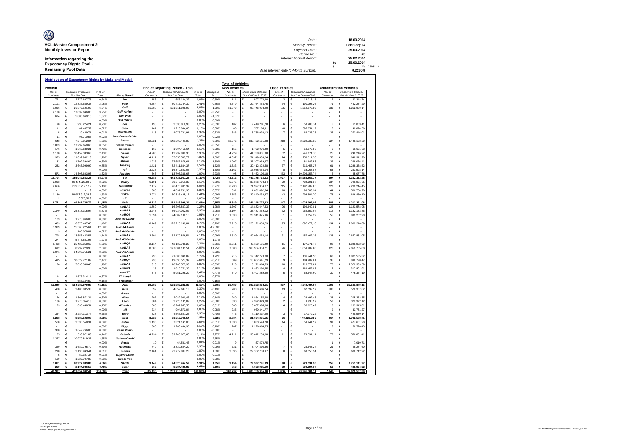| Ø                                                    |                                         |            |                       |
|------------------------------------------------------|-----------------------------------------|------------|-----------------------|
|                                                      | Date:                                   |            | 18.03.2014            |
| <b>VCL-Master Compartment 2</b>                      | Monthly Period:                         |            | February 14           |
| <b>Monthly Investor Report</b>                       | Payment Date:                           |            | 25.03.2014            |
| Information regarding the                            | Period No.:<br>Interest Accrual Period: |            | 49<br>25.02.2014      |
| <b>Expectancy Rights Pool -</b>                      |                                         | to<br>$(=$ | 25.03.2014<br>28 days |
| <b>Remaining Pool Data</b>                           | Base Interest Rate (1-Month Euribor):   |            | 0.2220%               |
| Distribution of Expectancy Rights by Make and Modell |                                         |            |                       |

|                     |                 |                                          |                  |                          |                     |   |                                          |                  |                      | <b>Type of Vehicles</b> |        |                                                 |                      |                                          |                               |            |                                                 |
|---------------------|-----------------|------------------------------------------|------------------|--------------------------|---------------------|---|------------------------------------------|------------------|----------------------|-------------------------|--------|-------------------------------------------------|----------------------|------------------------------------------|-------------------------------|------------|-------------------------------------------------|
| Poolcut             |                 |                                          |                  |                          |                     |   | <b>End of Reporting Period - Total</b>   |                  |                      | <b>New Vehicles</b>     |        |                                                 | <b>Used Vehicles</b> |                                          | <b>Demonstration Vehicles</b> |            |                                                 |
| No. o.<br>Contracts |                 | <b>Discounted Amounts</b><br>Not Yet Due | in % of<br>Total | Make/Modell              | No. of<br>Contracts |   | <b>Discounted Amounts</b><br>Not Yet Due | in % of<br>Total | change in<br>%       | No. of<br>Contracts     |        | <b>Discounted Balance</b><br>Not Yet Due in EUR | No. of<br>Contracts  | Discounted Balance<br>Not Yet Due in EUR | No of<br>Contracts            |            | <b>Discounted Balance</b><br>Not Yet Due in EUR |
| 721                 | €               | 2.772.607,78                             | 0,649            | Fox                      | 156                 | € | 653.134,32                               | 0,05%            | $-0,599$             | 141                     | €      | 597.772,40                                      | $\mathbf 3$          | 12.013,18<br>€                           | 12                            | €          | 43.348,74                                       |
| 2.191               | €               | 12.826.659,38                            | 2,98%            | Polo                     | 4.654               | € | 30.417.784,30                            | 2.41%            | $-0,56%$             | 4.549                   | €      | 29.764.456,75                                   | 34                   | €<br>191.093,26                          | 71                            | €          | 462.234,29                                      |
| 3.036               | €               | 26.877.521,90                            | 6.24%            | Golf                     | 11,388              | € | 101.311.025.93                           | 8,03%            | 1.799                | 11.070                  | €      | 98.746.093,20                                   | 185                  | 1.352.872.59<br>€                        | 133                           | €          | 1.212.060,14                                    |
| 2.130               | €               | 17.039.646,06                            | 3,95%            | <b>Golf Variant</b>      |                     | € |                                          | 0.00%            | $-3,95%$             |                         | €      |                                                 |                      | €                                        |                               | ¢          |                                                 |
| 674                 | €               | 5.885.669,15                             | 1,37%            | <b>Golf Plus</b>         |                     | € |                                          | 0,00%            | $-1,37%$             |                         | €      |                                                 |                      | €                                        |                               | ¢          |                                                 |
|                     | €               |                                          | 0,00%            | <b>Golf Cabrio</b>       |                     | Ė |                                          | 0,00%            | 0,00%                |                         | €      |                                                 |                      | ¢                                        |                               | ¢          |                                                 |
| 90                  | $\epsilon$      | 998.274,24                               | 0.23%            | Eos                      | 198                 | € | 2.535.818.93                             | 0,20%            | $-0.03%$             | 187                     | €      | 2.419.281,78                                    | 6                    | 53 483 74<br>€                           | 5                             | ¢          | 63.053,41                                       |
| 11                  | $\epsilon$      | 81.467,52                                | 0.02%            | .letta                   | 141                 | € | 1.223.034,66                             | 0,10%            | 0.089                | 88                      | €      | 787.105,91                                      | 48                   | 395.054,19<br>€                          | 5                             | ¢          | 40.874,56                                       |
| 5                   | $\epsilon$      | 29,489.71                                | 0,01%            | <b>New Beetle</b>        | 418                 | € | 4.075.701,91                             | 0.32%            | 0.329                | 386                     | €      | 3.736.030,12                                    | $\overline{7}$       | €<br>66.225,78                           | 25                            | $\epsilon$ | 273.446,01                                      |
| 11                  | €               | 93.710.56                                | 0.02%            | <b>New Beetle Cabrio</b> |                     | € |                                          | 0.00%            | $-0.029$             |                         | €      |                                                 |                      | €                                        |                               | €          |                                                 |
| 643                 | $\epsilon$      | 7.248.012.84                             | 1.68%            | Passat                   | 12.621              | € | 142.200.401.86                           | 11.279           | 9.59%                | 12.276                  | €      | 138.432.561.98                                  | 218                  | €<br>2.322.736.38                        | 127                           | €          | 1.445.103.50                                    |
| 3.883               | $\epsilon$      | 37 292 650 65                            | 8,65%            | <b>Passat Variant</b>    |                     | E |                                          | 0.00%            | $-865%$              |                         | €      |                                                 |                      | ¢                                        |                               | ¢          |                                                 |
| 176                 | $\epsilon$      | 1.869.639.21                             | 0.43%            | Scirocco                 | 166                 | € | 1.904.453.64                             | 0.15%            | $-0.289$             | 155                     | €      | 1,792,976.40                                    | 5                    | €<br>50 875 56                           | 6                             | €          | 60,601.68                                       |
| 1.170               | $\epsilon$      | 10.459.333,63                            | 2,43%            | Touran                   | 4.286               | € | 42.232.892,30                            | 3,35%            | 0,929                | 4.229                   | €      | 41.738.001,38                                   | 32                   | €<br>246.674,70                          | 25                            | €          | 248.216,22                                      |
| 975                 | $\epsilon$      | 11.892.982,13                            | 2,76%            | Tiguar                   | 4.111               | € | 55.056.507,72                            | 4,369            | 1,60%                | 4.037                   | €      | 54.149.883,24                                   | 24                   | €<br>258.311,58                          | 50                            | €          | 648.312,90                                      |
| 183                 | $\epsilon$      | 1.702.394.60                             | 0.39%            | Sharan                   | 1936                | € | 27.657.678,61                            | 2,19%            | 1,80%                | 1907                    | €      | 27.307.969,67                                   | $\overline{7}$       | ¢<br>81 642 53                           | 22                            | ¢          | 268.066.41                                      |
| 232                 | $\epsilon$      | 3.663.999.99                             | 0,85%            | Touared                  | 1.421               | € | 32.411.634,37                            | 2,57%            | 1,72%                | 1.323                   | €      | 30.412.822.58                                   | 37                   | ¢<br>710.453.27                          | 61                            | €          | 1.288.358,52                                    |
|                     | €               |                                          | 0,00%            | up!                      | 3.228               | € | 16.340.523,05                            | 1,30%            | 1,309                | 3.167                   | €      | 16.038.656,04                                   | 8                    | €<br>38.268,87                           | 53                            | €          | 263.598,14                                      |
| 573                 |                 | 14 308 603 93                            | 3,329            | Phaeton                  | 563                 |   | 13 703 339 68                            | 1,09%            | $-2.239$             | 98                      |        | 3 452 105 18                                    | 463                  | E<br>10.206.156,74                       | $\mathcal{P}$                 |            | 45.077,76                                       |
| 16.704              | É               | 155.042.663,28                           | 35,97%           | <b>VW</b>                | 45.287              | £ | 471.723.931,28                           | 37,39%           | 1,42%                | 43.613                  | €      | 449.375.716,63                                  | 1.077                | £<br>15.985.862,37                       | 597                           |            | 6.362.352,28                                    |
| 2.933               |                 | 16 474 528 84 6                          | 3.82%            | Caddy                    | 6 1 9 1             | € | 39.540.911,32                            | 3.13%            | $-0.699$             | 5975                    | €      | 38.376.798,34                                   | 79                   | 434 291 37<br>€                          | 137                           | E          | 729.821,61                                      |
| 2.656               |                 | 21.963.719,12 €                          | 5,10%            | <b>Transporter</b>       | 7.172               | € | 76.475.901,37                            | 6.06%            | 0.97%                | 6.730                   | €      | 71.997.954,07                                   | 215                  | €<br>2.197.702,85                        | 227                           | €          | 2.280.244,45                                    |
|                     |                 |                                          | 0.00%            | Amarok                   | 385                 | € | 4.631.701,38                             | 0.379            | 0,37%                | 331                     | €      | 4.031.492.54                                    | 10                   | €<br>93,503.94                           | 44                            | €          | 506.704,90                                      |
| 1.180               |                 | 10.917.917,33 €                          | 2.53%            | Crafter                  | 2.974               | € | 30.835.485,17                            | 2,44%            | $-0,09%$             | 2.853                   | €      | 29.840.530,37                                   | 43                   | 298.504,70<br>€                          | 78                            | €          | 696.450,10                                      |
|                     |                 | 5.623.50 €                               | 0.00%            | LT                       |                     | € |                                          | 0,00%            | 0.00%                |                         |        |                                                 |                      | €                                        |                               |            |                                                 |
| 6.771               |                 | 49.361.788,79                            | 11.45%           | <b>VWN</b>               | 16.722              | € | 151.483.999,24                           | 12.01%           | 0,55%                | 15,889                  | €      | 144.246.775,32                                  | 347                  | €<br>3.024.002,86                        | 486                           | €          | 4.213.221,06                                    |
|                     | €               |                                          | 0,00%            | Audi A1                  | 1.859               | € | 16.205.867,32                            | 1,28%            | 1,289                | 1.707                   | €      | 14.882.647,53                                   | 26                   | €<br>199.640,81                          | 126                           | $\in$      | 1.123.578,98                                    |
| 2.370               | €               | 25.318.315,94                            | 5,87%            | Audi A3                  | 3.248               | € | 36.934.052,02                            | 2.93%            | $-2,959$             | 3.104                   | €      | 35.487.259,12                                   | 32                   | €<br>264.659,04                          | 112                           | ¢          | 1.182.133,86                                    |
|                     | ¢               |                                          | 0,00%            | Audi Q3                  | 1.594               | € | 24.089.188,15                            | 1.91%            | 1,919                | 1.538                   | €      | 23.241.875,96                                   | $\overline{1}$       | ¢<br>8.059,29                            | 55                            | ¢          | 839.252,90                                      |
| 103                 | $\epsilon$      | 1 278 966 83                             | 0.30%            | Audi A3 Cabrio           |                     | € |                                          | 0,00%            | $-0.309$             |                         | €      |                                                 |                      | €                                        |                               | c          |                                                 |
| 489                 | $\epsilon$      | 6.376.497.45                             | 1.48%            | Audi A4                  | 8 1 4 9             | € | 123.228.149,84                           | 9,77%            | 8.29%                | 7920                    | €      | 120.121.466.79                                  | 95                   | €<br>1 097 472 16                        | 134                           | €          | 2.009.210,89                                    |
| 3.939               | €               | 55.568.275,61                            | 12.89%           | <b>Audi A4 Avant</b>     |                     | € |                                          | 0.009            | 12,899               |                         | €      |                                                 |                      | €                                        |                               | €          |                                                 |
| $\mathbf{Q}$        | $\epsilon$      | 100 078 81                               | 0.029            | Audi A4 Cabrio           |                     | € |                                          | 0.00%            | $-0.029$             |                         | €      |                                                 |                      | €                                        |                               | ¢          |                                                 |
| 798                 | €               | 13.553.463.57                            | 3.14%            | Audi A5                  | 2.694               | € | 52.179.856.54                            | 4,14%            | 0.99%                | 2.530                   | €      | 49 064 563 14                                   | 31                   | 457.462.35<br>¢                          | 133                           | ¢          | 2.657.831.05                                    |
| 277                 | €               | 547354195                                | 1.27%            | Audi A5 Cabrio           |                     | E |                                          | 0,00%            | $-1.279$             |                         | €      |                                                 |                      | €                                        |                               | c.         |                                                 |
| 1433                | $\epsilon$      | 25.422.358,62                            | 5,90%            | Audi Q5                  | 2.114               | € | 42.132.730.25                            | 3.34%            | $-2.569$             | 2.011                   | €      | 40.109.135.49                                   | 11                   | ¢<br>177,771,77                          | 92                            | ¢          | 1.845.822.99                                    |
| 612                 | $\epsilon$      | 8.992.279,98                             | 2,09%            | Audi A6                  | 8.085               | € | 177.084.133,51                           | 14,04%           | 11,95%               | 7.683                   | €      | 168.964.358,71                                  | 76                   | €<br>1.059.989,80                        | 326                           | €          | 7.059.785,00                                    |
| 2.071               | $\epsilon$      | 34.595.715,21                            | 8,03%            | Audi A6 Avant            |                     | Ė |                                          | 0,00%            | $-8,03%$             |                         | €      |                                                 |                      | ¢                                        |                               | ¢          |                                                 |
|                     | €               |                                          | 0,00%            | Audi A7                  | 790                 | € | 21.683.049,82                            | 1,72%            | 1,72%                | 715                     | €      | 19.742.770,00                                   | $\overline{7}$       | €<br>136.744,50                          | 68                            | €          | 1.803.535,32                                    |
| 415                 | €               | 10.629.771.82                            | 2.47%            | Audi Q7                  | 733                 | € | 19.690.577.37                            | 1,56%            | $-0.919$             | 689                     | €      | 18.607.641.29                                   | $\mathbf{Q}$         | €<br>184,207.61                          | 35                            | €          | 898.728,47                                      |
| 176                 | €               | 5.090.336,45                             | 1,18%            | Audi A8                  | 313                 | € | 10.760.577,93                            | 0.85%            | $-0,339$             | 228                     | €      | 8.171.864,53                                    | 10                   | €<br>218.379,81                          | 75                            | €          | 2.370.333,59                                    |
|                     | $\epsilon$      |                                          | 0,00%            | Audi R8                  | 35                  | € | 1.949.751,29                             | 0,15%            | 0,15%                | 24                      | €      | 1.462.496,55                                    | $\overline{a}$       | ¢<br>169.452,83                          | $\overline{7}$                | ¢          | 317.801,91                                      |
|                     |                 |                                          |                  | Audi TT                  | 375                 | € | 5.951.298,29                             | 0,47%            | 0,47%                | 340                     | €      | 5.407.289,50                                    | 5                    | ¢<br>68.644,60                           | 30                            | ¢          | 475.364,19                                      |
| 114                 | €<br>$\epsilon$ | 157631414                                | 0.37%            | TT Coupé                 |                     | € |                                          | 0,00%<br>0,00%   | $-0.379$             |                         | €<br>E |                                                 |                      | ¢<br>E                                   |                               | ¢          |                                                 |
| 43<br>12.849        | €               | 656.154,50                               | 0.15%            | <b>TT Roadster</b>       |                     | € |                                          | 42.16%           | $-0,159$             | 28.489                  | €      |                                                 | 307                  | 4.042.484,57<br>€                        | 1.193                         | €          | 22.583.379,15                                   |
| 488                 | €               | 194.632.070,88<br>2.486.805,33           | 45,15%<br>0.58%  | Audi<br>Ibiza            | 29.989<br>899       | € | 531.889.232,33<br>4.859.637.13           | 0.39%            | $-3,00%$<br>$-0.199$ | 780                     | €      | 505.263.368,61<br>4.268.686.74                  | 13                   | €<br>62.592.5                            | 106                           | €          | 528.357.82                                      |
|                     | €               |                                          | 0.00%            | Arosa                    |                     | € |                                          | 0.00%            | 0.00%                |                         | €      |                                                 |                      | €                                        |                               | E          |                                                 |
| 176                 | $\epsilon$      | 1.305.871.34                             | 0.30%            | Altea                    | 297                 | € | 2.082.900.46                             | 0.17%            | $-0.149$             | 260                     | €      | 1.854.155.68                                    | $\overline{a}$       | €<br>23 492 43                           | 33                            | €          | 205 252 35                                      |
| 186                 | €               | 1.276.354.13                             | 0.30%            | Leon                     | 384                 | € | 2.725.135.09                             | 0.229            | $-0.089$             | 330                     | €      | 2.392.824.00                                    | $\mathfrak{p}$       | €<br>9.938.97                            | 52                            | €          | 322.372.12                                      |
| 79                  | $\epsilon$      | 635.448,54                               | 0,15%            | Alhambra                 | 685                 | € | 8.287.955,56                             | 0,66%            | 0,519                | 663                     | €      | 8.067.985,06                                    | $\overline{4}$       | €<br>36.625,49                           | 18                            | €          | 183.345,01                                      |
|                     | $\epsilon$      |                                          | 0,00%            | Mii                      | 234                 | € | 994.573,04                               | 0,08%            | 0,08%                | 225                     | €      | 960.841,77                                      |                      | €                                        | $\overline{9}$                | €          | 33.731,27                                       |
| 354                 |                 | 3.284.113.74                             | 0.76%            | Exeo                     | 528                 |   | 4.566.547.26                             | 0,36%            | $-0.409$             | 476                     |        | 4.119.837.90                                    |                      | 17.179.22                                | 49                            |            | 429 530 14                                      |
| 1.283               | £               | 8.988.593,08                             | 2.09%            | Seat                     | 3.027               | € | 23.516.748,54                            | 1,86%            | $-0.22$              | 2.734                   | €      | 21.664.331.15                                   | 26                   | 149,828,686                              | 267                           | €          | 1.702.588,71                                    |
| 568                 | €               | 2.530.558,31                             | 0,599            | Fabia                    | 1.435               | € | 7.321.141,05                             | 0.58%            | $-0,019$             | 1.330                   | €      | 6.833.548,28                                    | 14                   | 59.941,57                                | 91                            | E          | 427.651,20                                      |
|                     | ¢               |                                          | 0,00%            | Citygo                   | 300                 | € | 1.283.434,98                             | 0,10%            | 0.109                | 287                     | €      | 1.226.864,55                                    |                      | ¢                                        | 13                            | ¢          | 56.570,43                                       |
| 320                 | $\epsilon$      | 1 649 766 05                             | 0.38%            | <b>Fabia Combi</b>       |                     | E |                                          | 0,00%            | $-0.389$             |                         | €      |                                                 |                      | €                                        |                               | E          |                                                 |
| 85                  | $\epsilon$      | 593 971 83                               | 0.14%            | Octavia                  | 4794                | € | 39.248.675,60                            | 3,11%            | 2.97%                | 4711                    | €      | 38.612.203,08                                   | 11                   | 79.591,11<br>€                           | 72                            | ¢          | 556.881,41                                      |
| 1.377               | $\epsilon$      | 10.979.819,27                            | 2.55%            | Octavia Combi            |                     | € |                                          | 0.009            | $-2.559$             |                         | €      |                                                 |                      | €                                        |                               | €          |                                                 |
|                     | €               |                                          | 0.00%            | Rapid                    | 10                  | € | 64.581.46                                | 0,01%            | 0,01%                | 9                       | €      | 57.570.75                                       |                      | €                                        | $\overline{1}$                | €          | 7.010.7                                         |
| 349                 | €               | 1.689.795,70                             | 0.399            | Roomstei                 | 749                 | € | 3.829.824,20                             | 0,30%            | $-0.099$             | 721                     | €      | 3,704,896.36                                    | $\overline{7}$       | 26.643,24<br>€                           | 21                            | €          | 98.284.60                                       |
| 218                 | €               | 2.196.943.44                             | 0.51%            | Superb                   | 2.161               | € | 22.772.807.23                            | 1,80%            | 1.30%                | 2.096                   | €      | 22.102.708.97                                   | 8                    | 63,355,34<br>€                           | 57                            | €          | 606.742.92                                      |
| 5                   | $\epsilon$      | 59.327,37                                | 0.01%            | <b>Superb Combi</b>      |                     | € |                                          | 0.00%            | $-0,01%$             |                         | €      |                                                 |                      | €                                        |                               | ¢          |                                                 |
| 139                 |                 | 1.227.707,86                             | 0,289            | Skoda Yet                |                     |   |                                          | 0,00%            | $-0,289$             |                         |        |                                                 |                      |                                          |                               |            |                                                 |
| 3.061               |                 | 20.927.889,83                            | 4,86%            | Skoda                    | 9.449               |   | 74.520.464,52                            | 5,91%            | 1,05%                | 9.154                   |        | 72.537.791,99                                   | 40                   | 229.531,26                               | 255                           |            | 1.753.141,27                                    |
| 269                 | €               | 2.104.036,58                             | 0,49%            | other                    | 962                 |   | 8.584.480,89                             | 0.68%            | 0,19%                | 853                     | €      | 7.668.981,60                                    | 59                   | 509.594,37<br>€                          | 50                            |            | 405.904,92                                      |
| 40.937              | €               | 431.057.042.44                           | 100.00%          | Total                    | 105.436             | € | 1.261.718.856,80                         | 100.00%          |                      | 100.732                 |        | € 1.200.756.965,30                              | 1.856                | 23.941.304,11                            | 2.848                         |            | 37.020.587,39                                   |
|                     |                 |                                          |                  |                          |                     |   |                                          |                  |                      |                         |        |                                                 |                      |                                          |                               |            |                                                 |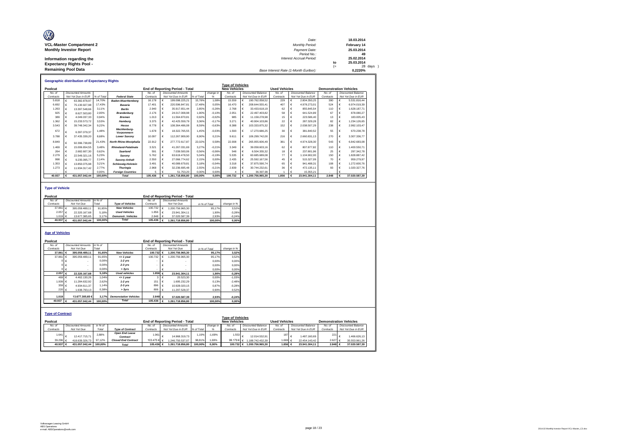| Ø                               | Date:                                 |      | 18.03.2014  |
|---------------------------------|---------------------------------------|------|-------------|
| <b>VCL-Master Compartment 2</b> | <b>Monthly Period:</b>                |      | February 14 |
| <b>Monthly Investor Report</b>  | Payment Date:                         |      | 25.03.2014  |
|                                 | Period No.:                           |      | 49          |
| Information regarding the       | Interest Accrual Period:              |      | 25.02.2014  |
| <b>Expectancy Rights Pool -</b> |                                       | to   | 25.03.2014  |
|                                 |                                       | $(=$ | 28 days     |
| <b>Remaining Pool Data</b>      | Base Interest Rate (1-Month Euribor): |      | 0.2220%     |

|           | <b>Geographic distribution of Expectancy Rights</b> |            |                             |           |   |                                        |            |           |                         |                    |                      |    |                           |                               |   |                           |
|-----------|-----------------------------------------------------|------------|-----------------------------|-----------|---|----------------------------------------|------------|-----------|-------------------------|--------------------|----------------------|----|---------------------------|-------------------------------|---|---------------------------|
|           |                                                     |            |                             |           |   |                                        |            |           | <b>Type of Vehicles</b> |                    |                      |    |                           |                               |   |                           |
| Poolcut   |                                                     |            |                             |           |   | <b>End of Reporting Period - Total</b> |            |           | <b>New Vehicles</b>     |                    | <b>Used Vehicles</b> |    |                           | <b>Demonstration Vehicles</b> |   |                           |
| No. of    | <b>Discounted Amounts</b>                           |            |                             | No of     |   | <b>Discounted Amounts</b>              |            | change in | No. of                  | Discounted Balance | No. of               |    | <b>Discounted Balance</b> | No. of                        |   | <b>Discounted Balance</b> |
| Contracts | Not Yet Due in EUR                                  | % of Total | <b>Federal State</b>        | Contracts |   | Not Yet Due in EUR                     | % of Total | %         | Contracts               | Not Yet Due in EUR | Contracts            |    | Not Yet Due in EUR        | Contracts                     |   | Not Yet Due in EUR        |
| 5.818     | 63.382.878.97                                       | 14.70%     | <b>Baden-Wuerttemberg</b>   | 16.178    |   | 199.098.225,21                         | 15.78%     | 1.08%     | 15.559                  | 190.762.058.52     | 229                  | E. | 2.804.350.25              | 390                           | E | 5.531.816.44              |
| 6.692     | 75.130.927.98                                       | 17,43%     | <b>Bavaria</b>              | 17,401    | € | 220.596.847.81                         | 17.48%     | 0.05%     | 16.470                  | 208.644.555.41     | 407                  |    | 4.978.273.01              | 524                           | ¢ | 6.974.019.39              |
| 1.263     | 13.397.548.66                                       | 3.11%      | <b>Berlin</b>               | 2.940     | € | 35.917.651.44                          | 2.85%      | $-0.26%$  | 2.768                   | 33.433.618.19      | 62                   |    | 855.845.54                | 110                           |   | 1.628.187.71              |
| 925       | 8.627.503.80                                        | 2.00%      | <b>Brandenburg</b>          | 2.176     |   | 24.017.008.98                          | 1.90%      | $-0.10%$  | 2.051                   | 22.497.403.82      | 58                   | €  | 641.524.89                | 67                            |   | 878.080.27                |
| 389       | 4.049.037.33                                        | 0.94%      | <b>Bremen</b>               | 1.013     | € | 11.564.870.81                          | 0.92%      | $-0.02%$  | 985                     | 11.158.278.98      | 15                   | €  | 223,586.40                | 13                            |   | 183,005.43                |
| 1.362     | 15.233.573.72                                       | 3.53%      | Hamburg                     | 3,375     | € | 42.425.559.79                          | 3.36%      | $-0.17%$  | 3.271                   | 40.904.103.86      | 22                   |    | 287.329.28                | 82                            |   | 1.234.126.65              |
| 3.543     | 39.748.342.34                                       | 9.22%      | Hesse                       | 8.778     |   | 108.364.486.08                         | 8.59%      | $-0.63%$  | 8.388                   | 103.333.875.32     | 152                  | €  | 2.038.507.29              | 238                           | € | 2.992.103.47              |
| 672       | 6.397.079.37                                        | 1.48%      | Mecklenburg-<br>Vorpommern  | 1.678     |   | 18.322.765.55                          | 1.45%      | $-0.03%$  | 1.593                   | 17.270.686.25      | 30                   |    | 381.840.52                | 55                            |   | 670.238.78                |
| 3.788     | 37.435.339.20                                       | 8.68%      | <b>Lower Saxony</b>         | 10.097    |   | 112.267.909.90                         | 8.90%      | 0.21%     | 9.611                   | 106.299.742.00     | 216                  |    | 2.660.831.13              | 270                           |   | 3.307.336.77              |
| 8.849     | 92.396.738.89                                       | 21,43%     | North Rhine-Westphalia      | 22.912    |   | 277,772,617,87                         | 22.02%     | 0.58%     | 22.008                  | 265.955.606.49     | 361                  |    | 4.974.328.30              | 543                           |   | 6.842.683.08              |
| 1.469     | 15,006,654.55                                       | 3.48%      | <b>Rhineland-Palatinate</b> | 3.521     | € | 41.267.031.69                          | 3.27%      | $-0.21%$  | 3,349                   | 39.058.603.16      | 62                   | €  | 807.877.82                | 110                           |   | 1.400.550.71              |
| 264       | 2.682.607.30                                        | 0.62%      | Saarland                    | 591       | € | 7.039.500.06                           | 0.56%      | $-0.06%$  | 548                     | 6.504.355.32       | 18                   | €  | 237,801.96                | 25                            |   | 297, 342. 78              |
| 2.279     | 22.549.321.16                                       | 5.23%      | Saxonv                      | 5.762     | € | 63.619.478.50                          | 5.04%      | $-0.19%$  | 5.535                   | 60.685.689.08      | 77                   | €  | 1.104.902.00              | 150                           |   | 1.828.887.42              |
| 998       | 9.235.095.77                                        | 2.14%      | Saxony-Anhalt               | 2.550     |   | 27.066.774.62                          | 2.15%      | 0.00%     | 2.435                   | 25.592.167.56      | 45                   |    | 515,327.09                | 70                            |   | 959.279.97                |
| 1.353     | 13.850.075.98                                       | 3.21%      | <b>Schleswig-Holstein</b>   | 3.491     | € | 40.089.679.81                          | 3.18%      | $-0.04%$  | 3.318                   | 37,875,590.74      | 65                   | €  | 941.488.31                | 108                           |   | 1.272.600.76              |
| 1.273     | 11.934.317.42                                       | 2.77%      | <b>Thuringia</b>            | 2.968     |   | 32.236.695.48                          | 2.55%      | $-0.21%$  | 2.839                   | 30.744.232.61      | 36                   | €  | 472.135.11                | 93                            |   | 1.020.327,76              |
|           |                                                     | 0.00%      | <b>Foreian Countries</b>    |           |   | 51.753.20                              | 0.00%      | 0.00%     |                         | 36,397.99          |                      | €  | 15,355.21                 |                               |   |                           |
| 40.937    | 431.057.042.44                                      | 100.00%    | <b>Total</b>                | 105,436   |   | 1.261.718.856.80                       | 100.00%    | 0.00%     | 100.732                 | 1.200.756.965.30   | 1.856                |    | 23.941.304.11             | 2,848                         |   | 37.020.587.39             |

#### **Type of Vehicle**

| Poolcut     |                           |         |                           |           |   | <b>End of Reporting Period - Total</b> |               |             |
|-------------|---------------------------|---------|---------------------------|-----------|---|----------------------------------------|---------------|-------------|
| No. of      | <b>Discounted Amounts</b> | in % of |                           | No of     |   | <b>Discounted Amounts</b>              |               |             |
| Contracts   | Not Yet Due               | Total   | <b>Type of Vehicles</b>   | Contracts |   | Not Yet Due                            | in % of Total | change in % |
| 37.861 $6$  | 395.059.489.11            | 91.65%  | <b>New Vehicles</b>       | 100.732   | € | 200.756.965.30                         | 95.17%        | 3.52%       |
| $2.057$ $6$ | 22.320.167.68             | 5.18%   | <b>Used Vehicles</b>      |           |   | 23.941.304.11                          | 1.90%         | $-3.28%$    |
| 1.019 $6$   | 13.677.385.65             | 3.17%   | <b>Demonstr.</b> Vehicles | 2.848     |   | 37.020.587.39                          | 2.93%         | $-0.24%$    |
| 40,937 €    | 431.057.042.44            | 100.00% | <b>Total</b>              | 105,436   |   | .261.718.856.80                        | 100.00%       | 0.00%       |

#### **Age of Vehicles**

| Poolcut                 |                           |         |                              |                    |         | End of Reporting Period - Total        |            |               |                         |                            |                      |                    |             |                               |
|-------------------------|---------------------------|---------|------------------------------|--------------------|---------|----------------------------------------|------------|---------------|-------------------------|----------------------------|----------------------|--------------------|-------------|-------------------------------|
| No. of                  | <b>Discounted Amounts</b> | in % of |                              | No of              |         | <b>Discounted Amounts</b>              |            |               |                         |                            |                      |                    |             |                               |
| Contracts               | Not Yet Due               | Total   |                              | Contracts          |         | Not Yet Due                            |            | in % of Total | change in %             |                            |                      |                    |             |                               |
| 37,861                  | 395.059.489.11            | 91.65%  | <b>New Vehicles</b>          | 100.732 €          |         | 1.200.756.965.30                       |            | 95.17%        | 3,52%                   |                            |                      |                    |             |                               |
| 37.861                  | 395.059.489.11            | 91.65%  | $= 1$ year                   | 100.732            |         | 1.200.756.965.30                       |            | 95.17%        | 3.52%                   |                            |                      |                    |             |                               |
|                         |                           | 0.00%   | $1-2$ vrs                    |                    | €       |                                        |            | 0.00%         | 0.00%                   |                            |                      |                    |             |                               |
|                         |                           | 0.00%   | $2-3$ yrs                    |                    |         |                                        |            | 0.00%         | 0.00%                   |                            |                      |                    |             |                               |
|                         |                           | 0.00%   | > 3vrs                       |                    | €       |                                        |            | 0.00%         | 0.00%                   |                            |                      |                    |             |                               |
| 2.057                   | 22.320.167.68             | 5.18%   | <b>Used vehicles</b>         | 1.856 $\epsilon$   |         | 23.941.304.11                          |            | 1.90%         | $-3,28%$                |                            |                      |                    |             |                               |
| 469 €                   | 4.462.130.26              | 1.04%   | $= 1$ year                   |                    | $3 \in$ | 20.523.30                              |            | 0,00%         | $-1.03%$                |                            |                      |                    |             |                               |
| 1.009 $6$               | 11.284.632.92             | 2.62%   | $1-2$ vrs                    | 151                | ∣∈      | 1.695.232.29                           |            | 0.13%         | $-2.48%$                |                            |                      |                    |             |                               |
| $359$ $\epsilon$        | 4.934.611.37              | 1.14%   | $2-3$ yrs                    | 896                | €       | 10.928.020.15                          |            | 0.87%         | $-0.28%$                |                            |                      |                    |             |                               |
| $220 \epsilon$          | 1.638.793.13              | 0.38%   | > 3yrs                       | 806 $\epsilon$     |         | 11.297.528.37                          |            | 0.90%         | 0,52%                   |                            |                      |                    |             |                               |
|                         |                           |         |                              |                    |         |                                        |            |               |                         |                            |                      |                    |             |                               |
| 1.019                   | 13,677,385,65€            | 3.17%   | <b>Demonstation Vehicles</b> | 2.848 €            |         | 37.020.587.39                          |            | 2,93%         | $-0.24%$                |                            |                      |                    |             |                               |
| 40.937                  | 431.057.042.44            | 100.00% | <b>Total</b>                 | 105.436 $\epsilon$ |         | 1.261.718.856.80                       |            | 100.00%       | 0,00%                   |                            |                      |                    |             |                               |
|                         |                           |         |                              |                    |         |                                        |            |               |                         |                            |                      |                    |             |                               |
|                         |                           |         |                              |                    |         |                                        |            |               |                         |                            |                      |                    |             |                               |
| <b>Type of Contract</b> |                           |         |                              |                    |         |                                        |            |               |                         |                            |                      |                    |             |                               |
|                         |                           |         |                              |                    |         |                                        |            |               | <b>Type of Vehicles</b> |                            |                      |                    |             |                               |
| Poolcut                 |                           |         |                              |                    |         | <b>End of Reporting Period - Total</b> |            |               | <b>New Vehicles</b>     |                            | <b>Used Vehicles</b> |                    |             | <b>Demonstration Vehicles</b> |
| No. of                  | <b>Discounted Amounts</b> | in % of |                              | No. of             |         | <b>Discounted Amounts</b>              |            | change in     | No. of                  | Discounted Balance         | No. of               | Discounted Balance | No. of      | Discounted Balance            |
| Contracts               | Not Yet Due               | Total   | <b>Type of Contract</b>      | Contracts          |         | Not Yet Due in EUR                     | % of Total | %             | Contracts               | Not Yet Due in EUR         | Contracts            | Not Yet Due in EUR | Contracts   | Not Yet Due in EUR            |
| 1.641                   |                           | 2,88%   | Open End Lease               | 1.961              |         |                                        | 1.19%      | $-1.69%$      | 1.553                   |                            | 187                  |                    | 221         |                               |
|                         | 12.417.715.71             |         | Contract                     |                    |         | 14.968.319.73                          |            |               |                         | 12.014.532.91              |                      | 1.487.160.69       |             | 1.466.626.13                  |
| 39.296                  | 418.639.326.73            | 97.12%  | <b>Closed End Contract</b>   | 103.475 € €        |         | 1.246.750.537.07                       | 98,81%     | 1.69%         | 99.179 $\in$ $\in$      | 1.188.742.432.39           | 1.669 €              | 22.454.143.42      | $2.627 \in$ | 35.553.961,26                 |
| 40.937 €                | 431.057.042,44            | 100.00% | <b>Total</b>                 | 105.436 €          |         | 1.261.718.856.80                       | 100.00%    | 0.00%         |                         | 100.732 € 1.200.756.965.30 | 1.856 €              | 23.941.304.11      | 2.848 €     | 37.020.587.39                 |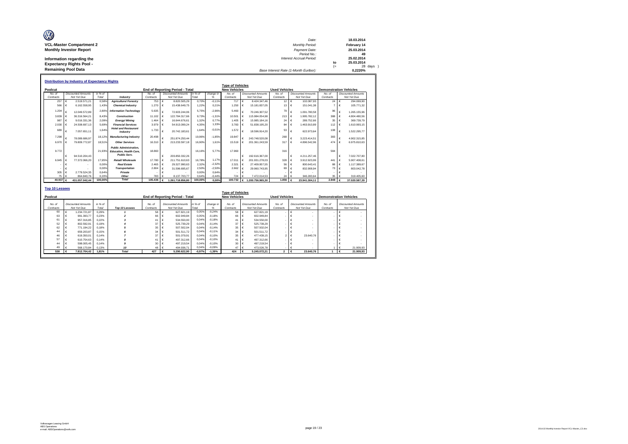| Ø                               | Date:                                 |      | 18.03.2014  |
|---------------------------------|---------------------------------------|------|-------------|
| <b>VCL-Master Compartment 2</b> | Monthly Period:                       |      | February 14 |
| <b>Monthly Investor Report</b>  | Payment Date:                         |      | 25.03.2014  |
|                                 | Period No.:                           |      | 49          |
| Information regarding the       | Interest Accrual Period:              |      | 25.02.2014  |
| <b>Expectancy Rights Pool -</b> |                                       | to   | 25.03.2014  |
|                                 |                                       | $(=$ | 28 days     |
| <b>Remaining Pool Data</b>      | Base Interest Rate (1-Month Euribor): |      | 0.2220%     |

|           |            |                           |         |                                                                                        |           |            |                                 |         |           | <b>Type of Vehicles</b> |            |                           |                      |                  |                           |                               |            |                           |
|-----------|------------|---------------------------|---------|----------------------------------------------------------------------------------------|-----------|------------|---------------------------------|---------|-----------|-------------------------|------------|---------------------------|----------------------|------------------|---------------------------|-------------------------------|------------|---------------------------|
| Poolcut   |            |                           |         |                                                                                        |           |            | End of Reporting Period - Total |         |           | <b>New Vehicles</b>     |            |                           | <b>Used Vehicles</b> |                  |                           | <b>Demonstration Vehicles</b> |            |                           |
| No. of    |            | <b>Discounted Amounts</b> | in % of |                                                                                        | No of     |            | <b>Discounted Amounts</b>       | in %    | change in | No. of                  |            | <b>Discounted Amounts</b> | No. of               |                  | <b>Discounted Amounts</b> | No of                         |            | <b>Discounted Amounts</b> |
| Contracts |            | Not Yet Due               | Total   | Industry                                                                               | Contracts |            | Not Yet Due                     | Total   | %         | Contracts               |            | Not Yet Due               | Contracts            |                  | Not Yet Due               | Contracts                     |            | Not Yet Due               |
| 257       | $\epsilon$ | 2.519.571.21              | 0.58%   | <b>Agriculture/Forestrv</b>                                                            | 753       | $\epsilon$ | 8.820.505.29                    | 0.70%   | $-0.11%$  | $717 \in$               |            | 8.424.347.46              | $12 \cdot \epsilon$  |                  | 102.087.93                | 24                            | ۱€         | 294.069.90                |
| 566       |            | 6.162.558.95              | 1.43%   | <b>Chemical Industry</b>                                                               | 1.270     | ∣€         | 15.438.649.75                   | 1.22%   | 0.21%     | 1.250                   |            | 15.181.837.05             | 13                   |                  | 151.041.38                |                               |            | 105,771.32                |
| 1.204     |            | 12.049.572.89             | 2.80    | <b>Information Technology</b>                                                          | 5.635     | c          | 72.603.244.06                   | 5.75%   | $-2.96%$  | 5.460                   |            | 70.246.307.52             | 79                   |                  | 1.091.780.58              | 96                            |            | 1.265.155.96              |
| 3.839     |            | 36.316.564.21             | 8.43%   | Construction                                                                           | 11.102    | ∣∈         | 122.784.317.66                  | 9.73%   | $-1.31%$  | 10.501                  |            | 115.984.054.98            | 213                  | $\mathsf{L} \in$ | 1.995.782.12              | 388                           | I€         | 4.804.480.56              |
| 987       |            | 9.016.331.36              | 2.09%   | Energy/Mining                                                                          | 1.464     | $\epsilon$ | 16,644,676.61                   | 1.32%   | 0.77%     | 1.405  €                |            | 15.985.184.16             | 24                   |                  | 289.752.66                | 35                            |            | 369,739.79                |
| 2.030     |            | 24.508.697.13             | 5.69%   | <b>Financial Services</b>                                                              | 3.979     | ∣€         | 54.913.099.24                   | 4.35%   | 1.33%     | 3.783 €                 |            | 51.838.195.20             | 84                   |                  | 1.463.910.89              | 112                           |            | 1.610.993.15              |
| 689       | €          | 7.057.651.11              | 1.64%   | <b>Hotel and Restaurant</b><br>Industry                                                | 1.733     | $\epsilon$ | 20.742.183.61                   | 1.64%   | $-0.01%$  | 1.572                   |            | 18,596.914.20             | 53                   |                  | 622.973.64                | 108                           |            | 1.522.295.77              |
| 7.298     | €          | 78.089.686.97             | 18.129  | <b>Manufacturing Industry</b>                                                          | 20.498    |            | 251.874.250.44                  | 19.96%  | $-1.85%$  | 19.847                  |            | 243.748.520.08            | 268                  |                  | 3.223.414.51              | 383                           | €          | 4.902.315.85              |
| 6.970     |            | 79.809.772.87             | 18.51%  | <b>Other Services</b>                                                                  | 16.310    |            | 213.233.597.18                  | 16.90%  | 1.61%     | 15,519                  |            | 201.361.243.59            | 317                  |                  | 4.896.542.96              | 474                           | $\epsilon$ | 6.975.810.63              |
| 9.772     |            |                           | 21.93%  | <b>Public Administration.</b><br><b>Education, Health Care.</b><br><b>Public Serv.</b> | 18,860    |            |                                 | 16.16%  | 5.77%     | 17,960                  |            |                           | 316                  |                  |                           | 584                           |            |                           |
|           | €          | 94.510.204.43             |         |                                                                                        |           | €          | 203.850.332.26                  |         |           |                         |            | 192.616.367.00            |                      | $\epsilon$       | 4.211.257.46              |                               | $\epsilon$ | 7.022.707.80              |
| 6.945     | ۱€         | 77.372.066.20             | 17.95%  | <b>Retail/Wholesale</b>                                                                | 17,780    | ∣∈         | 211.751.610.63                  | 16.78%  | 1.17%     | 17.011                  | $\vdash$   | 201.931.278.03            | 328                  | ∣€               | 3.912.923.99              | 441                           | I€         | 5.907.408.61              |
|           |            |                           | 0.00%   | <b>Real Estate</b>                                                                     | 2.465     | ∣€         | 29.327.990.63                   | 2.32%   | $-2.32%$  | 2.321                   |            | 27.409.957.55             | 56                   |                  | 800.643.41                | 88                            |            | 1.117.389.67              |
|           |            |                           | 0.00%   | Transportation                                                                         | 2.804     | €          | 31.596.695.67                   | 2.50%   | $-2.50%$  | 2.662 $\epsilon$        |            | 29.960.743.95             | 69                   |                  | 832,908.94                | 73                            |            | 803.042.78                |
| 305       |            | 2.779.524.35              | 0.64%   | Private                                                                                |           |            |                                 | 0.00%   | 0.64%     |                         |            |                           |                      |                  |                           |                               |            |                           |
| 75        | $\epsilon$ | 864.840.76                | 0.20%   | Other                                                                                  | 783       |            | 8.137.703.77                    | 0.64%   | $-0.44%$  | 724                     |            | 7.472.014.53              | 24                   |                  | 346,283.64                | 35                            |            | 319,405.60                |
| 40.937 €  |            | 431.057.042.44            | 100.00% | <b>Total</b>                                                                           | 105,436   |            | 1.261.718.856.80                | 100,00% | 0.00%     | 100.732                 | $\epsilon$ | 1.200.756.965.30          | 1.856 $6$            |                  | 23.941.304.11             | 2,848                         |            | 37.020.587.39             |

|                     |                                          |                  |                       |                     |                                          |                  |                | <b>Type of Vehicles</b> |                                          |                      |                                          |                     |                                          |  |
|---------------------|------------------------------------------|------------------|-----------------------|---------------------|------------------------------------------|------------------|----------------|-------------------------|------------------------------------------|----------------------|------------------------------------------|---------------------|------------------------------------------|--|
| Poolcut             |                                          |                  |                       |                     | <b>End of Reporting Period - Total</b>   |                  |                | <b>New Vehicles</b>     |                                          | <b>Used Vehicles</b> |                                          |                     | <b>Demonstration Vehicles</b>            |  |
| No. of<br>Contracts | <b>Discounted Amounts</b><br>Not Yet Due | in % of<br>Total | <b>Top 10 Lessees</b> | No. of<br>Contracts | <b>Discounted Amounts</b><br>Not Yet Due | in % of<br>Total | change in<br>% | No. of<br>Contracts     | <b>Discounted Amounts</b><br>Not Yet Due | No. of<br>Contracts  | <b>Discounted Amounts</b><br>Not Yet Due | No. of<br>Contracts | <b>Discounted Amounts</b><br>Not Yet Due |  |
| 60                  | 1.234.721.87                             | 0.29%            |                       | 58                  | 627.821.19                               | 0.05%            | $-0.24%$       | 58 €                    | 627.821.19                               |                      |                                          |                     |                                          |  |
| 63                  | 991.393.77                               | 0.23%            |                       | 66                  | 602.949.84                               | 0.05%            | $-0.18%$       | 66 €                    | 602.949.84                               |                      |                                          |                     |                                          |  |
| 61                  | 957,316.85                               | 0.22%            |                       | 41                  | 534,550.00                               | 0,04%            | $-0.18%$       | 41                      | 534,550.00                               |                      |                                          |                     |                                          |  |
| 52                  | 802.592.91                               | 0.19%            |                       | 37                  | 525,739.29                               | 0.04%            | $-0.14%$       | $37 \in$                | 525,739.29                               |                      |                                          |                     |                                          |  |
| 62                  | 771.194.22                               | 0.18%            |                       | 35                  | 507.502.04                               | 0.04%            | $-0.14%$       | $35 \in$                | 507.502.04                               |                      |                                          |                     |                                          |  |
| 44                  | 659.203.87                               | 0.15%            |                       | 34                  | 501.511.72                               | 0.04%            | $-0.11%$       | 34                      | 501.511.72                               |                      |                                          |                     |                                          |  |
| 46                  | 619.350.01                               | 0.14%            |                       | 37                  | 501.079.91                               | 0.04%            | $-0.10%$       | $35 \in$                | 477.439.15                               |                      | 23,640.76                                |                     |                                          |  |
| 57                  | 610.754.63                               | 0.14%            |                       | 41                  | 497.312.66                               | 0,04%            | $-0.10%$       | 41                      | 497.312.66<br>- 16                       |                      |                                          |                     |                                          |  |
| 44                  | 598,005.45                               | 0.14%            |                       | 30 <sub>o</sub>     | 497.219.54                               | 0.04%            | $-0.10%$       | 30                      | 497.219.54                               |                      |                                          |                     |                                          |  |
| 49                  | 568,170.84                               | 0.13%            | 10                    | 48 €                | 494.936.71                               | 0.04%            | $-0.09%$       | 47 €                    | 473.026.78                               |                      |                                          |                     | 21,909.93                                |  |
| 538                 | 7.812.704.42                             | 1.81%            | <b>Total</b>          | 427                 | 5.290.622.90                             | $-0.97%$         | $-1.39%$       | 424                     | 5.245.072.21                             | $\overline{2}$       | 23,640.76                                |                     | 21.909.93                                |  |

Г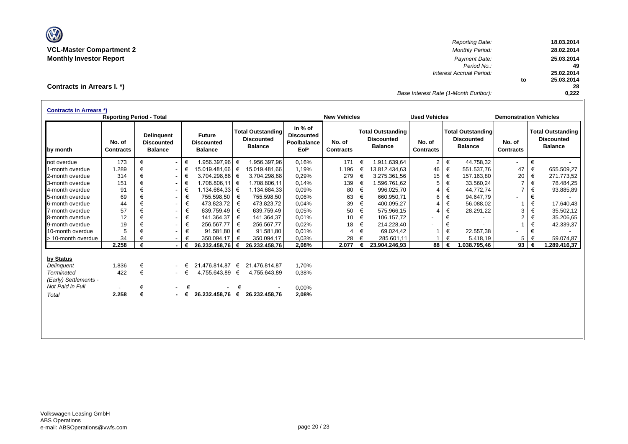

*Reporting Date:* **18.03.2014 VCL-Master Compartment 2** *Monthly Period:* **28.02.2014 Monthly Investor Report** *Payment Date:* **25.03.2014** *Period No.:* **49** *Interest Accrual Period:* **25.02.2014 to 25.03.2014 28** *Base Interest Rate (1-Month Euribor):* **0,222**

**Contracts in Arrears I. \*)**

| <b>Contracts in Arrears *)</b> | <b>Reporting Period - Total</b> |   |                                                          |        |                                                      |   |                                                                 |                                                           | <b>New Vehicles</b>        |   |                                                                 | <b>Used Vehicles</b>       |       |                                                                 | <b>Demonstration Vehicles</b> |   |                                                                 |
|--------------------------------|---------------------------------|---|----------------------------------------------------------|--------|------------------------------------------------------|---|-----------------------------------------------------------------|-----------------------------------------------------------|----------------------------|---|-----------------------------------------------------------------|----------------------------|-------|-----------------------------------------------------------------|-------------------------------|---|-----------------------------------------------------------------|
| by month                       | No. of<br><b>Contracts</b>      |   | <b>Delinquent</b><br><b>Discounted</b><br><b>Balance</b> |        | <b>Future</b><br><b>Discounted</b><br><b>Balance</b> |   | <b>Total Outstanding</b><br><b>Discounted</b><br><b>Balance</b> | in % of<br><b>Discounted</b><br>Poolbalance<br><b>EoP</b> | No. of<br><b>Contracts</b> |   | <b>Total Outstanding</b><br><b>Discounted</b><br><b>Balance</b> | No. of<br><b>Contracts</b> |       | <b>Total Outstanding</b><br><b>Discounted</b><br><b>Balance</b> | No. of<br><b>Contracts</b>    |   | <b>Total Outstanding</b><br><b>Discounted</b><br><b>Balance</b> |
| not overdue                    | 173                             | € | $\sim$                                                   | €      | 1.956.397,96                                         | € | 1.956.397,96                                                    | 0,16%                                                     | 171                        | € | 1.911.639,64                                                    | $\overline{2}$             | $\in$ | 44.758,32                                                       | $\blacksquare$                | € |                                                                 |
| 1-month overdue                | 1.289                           | € | $\sim$                                                   | €      | 15.019.481,66                                        | € | 15.019.481,66                                                   | 1,19%                                                     | 1.196                      | € | 13.812.434,63                                                   | 46                         | €     | 551.537,76                                                      | 47                            | € | 655.509,27                                                      |
| 2-month overdue                | 314                             | € | ۰.                                                       | €      | 3.704.298,88                                         | € | 3.704.298.88                                                    | 0,29%                                                     | 279                        | € | 3.275.361,56                                                    | 15                         | €     | 157.163,80                                                      | 20                            | € | 271.773,52                                                      |
| 3-month overdue                | 151                             | € | ۰.                                                       | €      | $1.708.806,11$ €                                     |   | 1.708.806,11                                                    | 0.14%                                                     | 139                        | € | 1.596.761,62                                                    | 5                          | €     | 33.560,24                                                       | $\overline{7}$                | € | 78.484,25                                                       |
| 4-month overdue                | 91                              | € | $\sim$                                                   | €      | 1.134.684,33 €                                       |   | 1.134.684,33                                                    | 0.09%                                                     | 80                         | € | 996.025,70                                                      | 4                          | €     | 44.772,74                                                       | $\overline{7}$                | € | 93.885,89                                                       |
| 5-month overdue                | 69                              | € | $\sim$                                                   | €      | 755.598,50                                           | € | 755.598,50                                                      | 0.06%                                                     | 63                         | € | 660.950.71                                                      | 6                          | €     | 94.647,79                                                       |                               | € |                                                                 |
| 6-month overdue                | 44                              | € | $\sim$                                                   | €      | 473.823,72                                           | € | 473.823,72                                                      | 0,04%                                                     | 39                         | € | 400.095,27                                                      | 4                          | €     | 56.088,02                                                       |                               | € | 17.640,43                                                       |
| 7-month overdue                | 57                              | € | $\sim$                                                   | €      | 639.759,49                                           | € | 639.759,49                                                      | 0.05%                                                     | 50                         | € | 575.966,15                                                      | 4                          | €     | 28.291,22                                                       | 3                             | € | 35.502,12                                                       |
| 8-month overdue                | 12                              | € | $\overline{\phantom{a}}$                                 | €      | 141.364,37                                           | € | 141.364,37                                                      | 0.01%                                                     | 10                         | € | 106.157,72                                                      |                            | €     |                                                                 | 2                             | € | 35.206,65                                                       |
| 9-month overdue                | 19                              | € | $\blacksquare$                                           | €      | 256.567,77                                           | € | 256.567,77                                                      | 0,02%                                                     | 18                         | € | 214.228,40                                                      | ۰                          | €     |                                                                 |                               | € | 42.339,37                                                       |
| 10-month overdue               | 5                               | € |                                                          | €      | 91.581,80                                            | € | 91.581,80                                                       | 0.01%                                                     | $\overline{4}$             | € | 69.024,42                                                       |                            | €     | 22.557,38                                                       |                               | € |                                                                 |
| > 10-month overdue             | 34                              |   |                                                          |        | 350.094,17                                           | € | 350.094,17                                                      | 0.03%                                                     | 28                         | € | 285.601,11                                                      |                            | €     | 5.418,19                                                        | 5                             | € | 59.074,87                                                       |
|                                | 2.258                           | € |                                                          | €      | 26.232.458,76                                        | € | 26.232.458,76                                                   | 2,08%                                                     | 2.077                      |   | 23.904.246,93                                                   | 88                         |       | .038.795,46                                                     | 93                            |   | .289.416,37                                                     |
| by Status                      |                                 |   |                                                          |        |                                                      |   |                                                                 |                                                           |                            |   |                                                                 |                            |       |                                                                 |                               |   |                                                                 |
| Delinguent                     | 1.836                           | € |                                                          | €      | 21.476.814,87 €                                      |   | 21.476.814,87                                                   | 1.70%                                                     |                            |   |                                                                 |                            |       |                                                                 |                               |   |                                                                 |
| <b>Terminated</b>              | 422                             | € |                                                          | $ \in$ | 4.755.643,89 €                                       |   | 4.755.643,89                                                    | 0,38%                                                     |                            |   |                                                                 |                            |       |                                                                 |                               |   |                                                                 |
| (Early) Settlements -          |                                 |   |                                                          |        |                                                      |   |                                                                 |                                                           |                            |   |                                                                 |                            |       |                                                                 |                               |   |                                                                 |
| Not Paid in Full               |                                 | € | $\sim 100$                                               | €      |                                                      | € |                                                                 | 0,00%                                                     |                            |   |                                                                 |                            |       |                                                                 |                               |   |                                                                 |
| Total                          | 2.258                           | € | $\sim$                                                   | €      | 26.232.458,76                                        | € | 26.232.458,76                                                   | 2,08%                                                     |                            |   |                                                                 |                            |       |                                                                 |                               |   |                                                                 |
|                                |                                 |   |                                                          |        |                                                      |   |                                                                 |                                                           |                            |   |                                                                 |                            |       |                                                                 |                               |   |                                                                 |
|                                |                                 |   |                                                          |        |                                                      |   |                                                                 |                                                           |                            |   |                                                                 |                            |       |                                                                 |                               |   |                                                                 |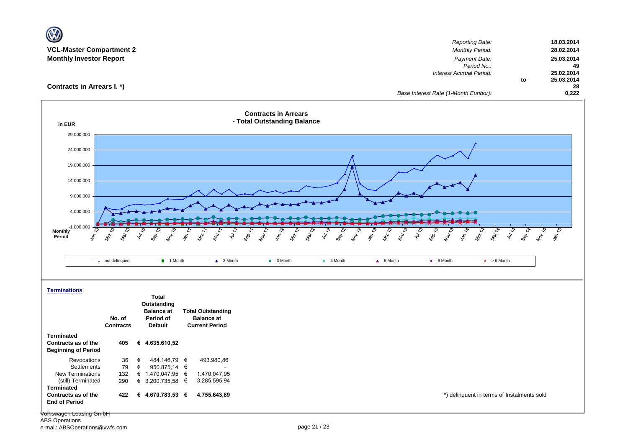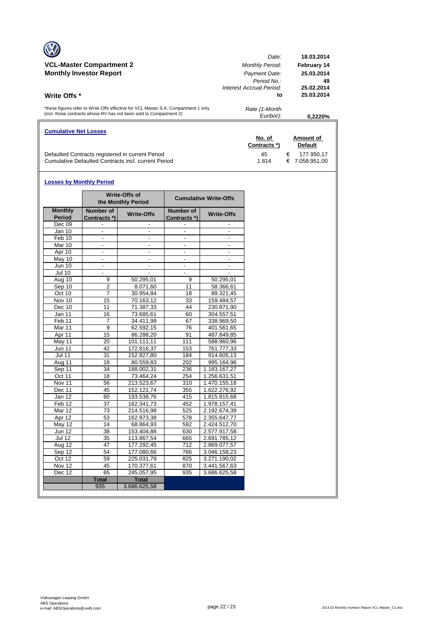|                                                                                                                                                            | Date:                          | 18.03.2014               |
|------------------------------------------------------------------------------------------------------------------------------------------------------------|--------------------------------|--------------------------|
| <b>VCL-Master Compartment 2</b>                                                                                                                            | <b>Monthly Period:</b>         | February 14              |
| <b>Monthly Investor Report</b>                                                                                                                             | Payment Date:<br>Period No.:   | 25.03.2014<br>49         |
| Write Offs *                                                                                                                                               | Interest Accrual Period:<br>to | 25.02.2014<br>25.03.2014 |
| *these figures refer to Write Offs effective for VCL Master S.A. Compartment 1 only<br>(incl. those contracts whose RV has not been sold to Compartment 2) | Rate (1-Month<br>Euribor):     | 0.2220%                  |
| <b>Cumulative Net Losses</b>                                                                                                                               | No. of                         | Amount of                |

|                                                     | Contracts *) | <b>Default</b> |
|-----------------------------------------------------|--------------|----------------|
| Defaulted Contracts registered in current Period    | 45           | € 177.950.17   |
| Cumulative Defaulted Contracts incl. current Period | 1.814        | € 7.058.951.00 |

### **Losses by Monthly Period**

 $\overline{\phantom{a}}$ 

|                                 |                           | Write-Offs of<br>the Monthly Period |                           | <b>Cumulative Write-Offs</b> |
|---------------------------------|---------------------------|-------------------------------------|---------------------------|------------------------------|
| <b>Monthly</b><br><b>Period</b> | Number of<br>Contracts *) | <b>Write-Offs</b>                   | Number of<br>Contracts *) | <b>Write-Offs</b>            |
| Dec 09                          |                           |                                     |                           |                              |
| <b>Jan 10</b>                   | L.                        | ٠                                   | ä,                        | $\sim$                       |
| Feb 10                          | $\frac{1}{2}$             | $\overline{a}$                      | $\overline{\phantom{a}}$  |                              |
| Mar 10                          |                           |                                     |                           |                              |
| Apr 10                          | L.                        | ÷.                                  | $\overline{\phantom{0}}$  | $\overline{a}$               |
| May 10                          | ä,                        | ä,                                  | $\overline{\phantom{0}}$  |                              |
| <b>Jun 10</b>                   |                           |                                     |                           |                              |
| <b>Jul 10</b>                   | ÷.                        | $\overline{\phantom{a}}$            | ÷.                        |                              |
| Aug 10                          | 9                         | 50.295,01                           | 9                         | 50.295,01                    |
| Sep 10                          | $\overline{2}$            | 8.071,60                            | 11                        | 58.366,61                    |
| Oct 10                          | $\overline{7}$            | 30.954,84                           | 18                        | 89.321,45                    |
| Nov 10                          | 15                        | 70.163,12                           | 33                        | 159.484,57                   |
| Dec 10                          | 11                        | 71.387,33                           | 44                        | 230.871,90                   |
| Jan 11                          | 16                        | 73.685,61                           | 60                        | 304.557,51                   |
| Feb 11                          | 7                         | 34.411,99                           | 67                        | 338.969,50                   |
| <b>Mar 11</b>                   | 9                         | 62.592,15                           | 76                        | 401.561,65                   |
| Apr 11                          | 15                        | 86.288,20                           | 91                        | 487.849,85                   |
| May 11                          | 20                        | 101.111,11                          | 111                       | 588.960,96                   |
| Jun 11                          | 42                        | 172.816,37                          | 153                       | 761.777,33                   |
| <b>Jul 11</b>                   | 31                        | 152.827,80                          | 184                       | 914.605,13                   |
| Aug 11                          | 18                        | 80.559,83                           | 202                       | 995.164,96                   |
| Sep 11                          | 34                        | 188.002,31                          | 236                       | 1.183.167,27                 |
| Oct 11                          | 18                        | 73.464,24                           | 254                       | 1.256.631,51                 |
| Nov 11                          | 56                        | 213.523,67                          | 310                       | 1.470.155,18                 |
| Dec 11                          | 45                        | 152.121,74                          | 355                       | 1.622.276,92                 |
| Jan 12                          | 60                        | 193.538,76                          | 415                       | 1.815.815,68                 |
| Feb 12                          | 37                        | 162.341,73                          | 452                       | 1.978.157,41                 |
| Mar 12                          | 73                        | 214.516,98                          | 525                       | 2.192.674,39                 |
| Apr 12                          | 53                        | 162.973,38                          | 578                       | 2.355.647,77                 |
| <b>May 12</b>                   | 14                        | 68.864,93                           | 592                       | 2.424.512,70                 |
| <b>Jun 12</b>                   | 38                        | 153.404,88                          | 630                       | 2.577.917,58                 |
| <b>Jul 12</b>                   | 35                        | 113.867,54                          | 665                       | 2.691.785,12                 |
| Aug 12                          | 47                        | 177.292,45                          | 712                       | 2.869.077,57                 |
| Sep 12                          | 54                        | 177.080,66                          | 766                       | 3.046.158,23                 |
| Oct 12                          | 59                        | 225.031,79                          | 825                       | 3.271.190,02                 |
| Nov 12                          | 45                        | 170.377,61                          | 870                       | 3.441.567,63                 |
| Dec 12                          | 65                        | 245.057,95                          | 935                       | 3.686.625,58                 |
|                                 | <b>Total</b>              | <b>Total</b>                        |                           |                              |
|                                 | 935                       | 3.686.625,58                        |                           |                              |
|                                 |                           |                                     |                           |                              |